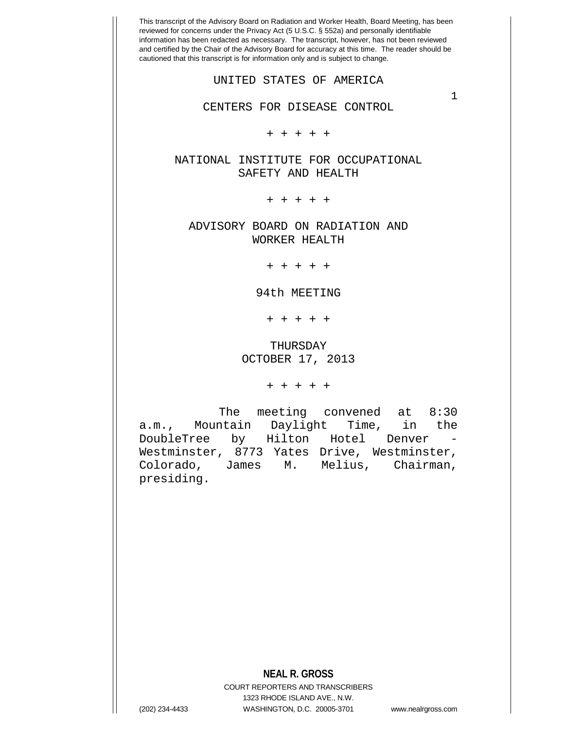This transcript of the Advisory Board on Radiation and Worker Health, Board Meeting, has been reviewed for concerns under the Privacy Act (5 U.S.C. § 552a) and personally identifiable information has been redacted as necessary. The transcript, however, has not been reviewed and certified by the Chair of the Advisory Board for accuracy at this time. The reader should be cautioned that this transcript is for information only and is subject to change. **NEAL R. GROSS** COURT REPORTERS AND TRANSCRIBERS 1323 RHODE ISLAND AVE., N.W. 1 UNITED STATES OF AMERICA CENTERS FOR DISEASE CONTROL + + + + + NATIONAL INSTITUTE FOR OCCUPATIONAL SAFETY AND HEALTH + + + + + ADVISORY BOARD ON RADIATION AND WORKER HEALTH + + + + + 94th MEETING + + + + + THURSDAY OCTOBER 17, 2013 + + + + + The meeting convened at 8:30 a.m., Mountain Daylight Time, in the DoubleTree by Hilton Hotel Denver - Westminster, 8773 Yates Drive, Westminster, Colorado, James M. Melius, Chairman, presiding.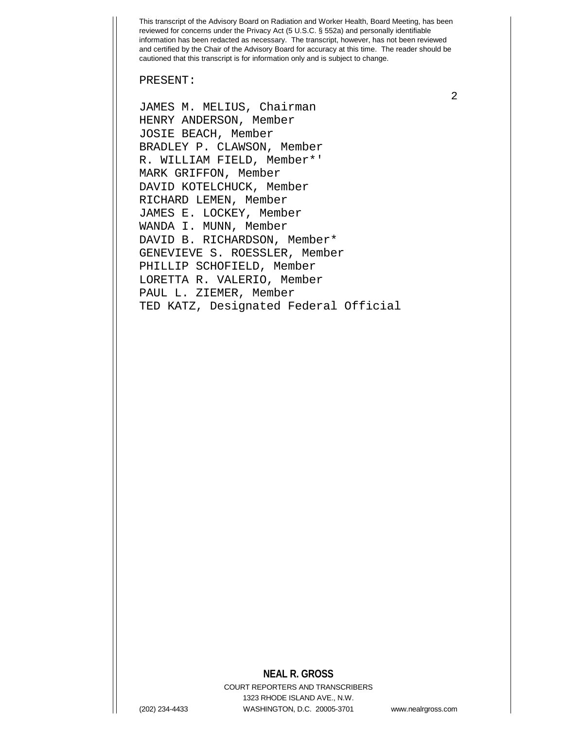PRESENT:

JAMES M. MELIUS, Chairman HENRY ANDERSON, Member JOSIE BEACH, Member BRADLEY P. CLAWSON, Member R. WILLIAM FIELD, Member\*' MARK GRIFFON, Member DAVID KOTELCHUCK, Member RICHARD LEMEN, Member JAMES E. LOCKEY, Member WANDA I. MUNN, Member DAVID B. RICHARDSON, Member\* GENEVIEVE S. ROESSLER, Member PHILLIP SCHOFIELD, Member LORETTA R. VALERIO, Member PAUL L. ZIEMER, Member TED KATZ, Designated Federal Official

## **NEAL R. GROSS**

COURT REPORTERS AND TRANSCRIBERS 1323 RHODE ISLAND AVE., N.W. (202) 234-4433 WASHINGTON, D.C. 20005-3701 www.nealrgross.com

2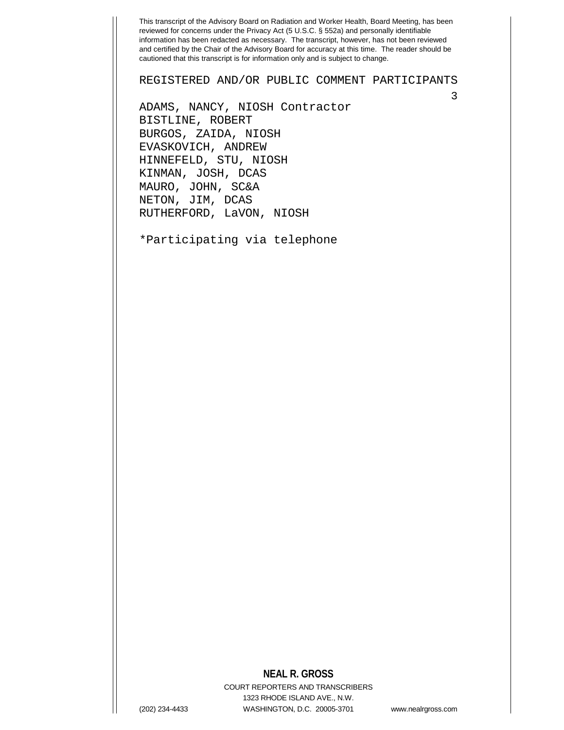REGISTERED AND/OR PUBLIC COMMENT PARTICIPANTS

ADAMS, NANCY, NIOSH Contractor BISTLINE, ROBERT BURGOS, ZAIDA, NIOSH EVASKOVICH, ANDREW HINNEFELD, STU, NIOSH KINMAN, JOSH, DCAS MAURO, JOHN, SC&A NETON, JIM, DCAS RUTHERFORD, LaVON, NIOSH

\*Participating via telephone

## **NEAL R. GROSS**

COURT REPORTERS AND TRANSCRIBERS 1323 RHODE ISLAND AVE., N.W. (202) 234-4433 WASHINGTON, D.C. 20005-3701 www.nealrgross.com

3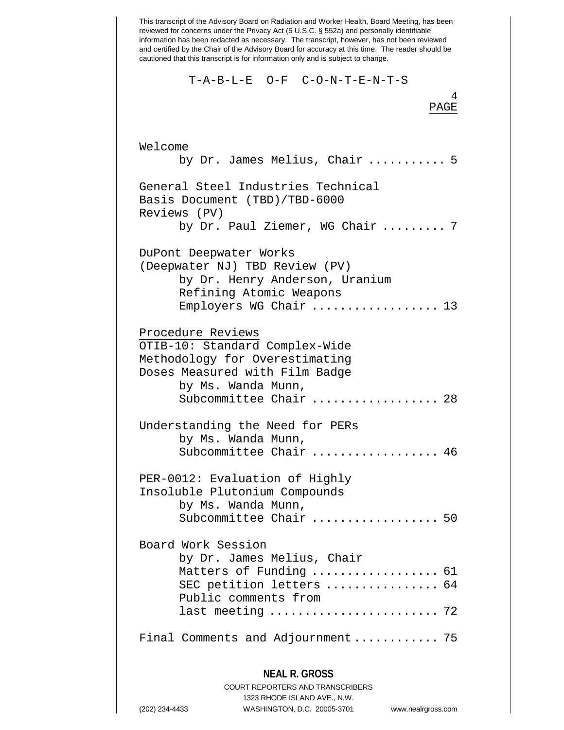This transcript of the Advisory Board on Radiation and Worker Health, Board Meeting, has been reviewed for concerns under the Privacy Act (5 U.S.C. § 552a) and personally identifiable information has been redacted as necessary. The transcript, however, has not been reviewed and certified by the Chair of the Advisory Board for accuracy at this time. The reader should be cautioned that this transcript is for information only and is subject to change. **NEAL R. GROSS** 4 T-A-B-L-E O-F C-O-N-T-E-N-T-S PAGE Welcome by Dr. James Melius, Chair ........... 5 General Steel Industries Technical Basis Document (TBD)/TBD-6000 Reviews (PV) by Dr. Paul Ziemer, WG Chair ......... 7 DuPont Deepwater Works (Deepwater NJ) TBD Review (PV) by Dr. Henry Anderson, Uranium Refining Atomic Weapons Employers WG Chair ................... 13 Procedure Reviews OTIB-10: Standard Complex-Wide Methodology for Overestimating Doses Measured with Film Badge by Ms. Wanda Munn, Subcommittee Chair .................... 28 Understanding the Need for PERs by Ms. Wanda Munn, Subcommittee Chair .................. 46 PER-0012: Evaluation of Highly Insoluble Plutonium Compounds by Ms. Wanda Munn, Subcommittee Chair .................. 50 Board Work Session by Dr. James Melius, Chair Matters of Funding ..................... 61 SEC petition letters .................. 64 Public comments from last meeting ........................ 72 Final Comments and Adjournment ............. 75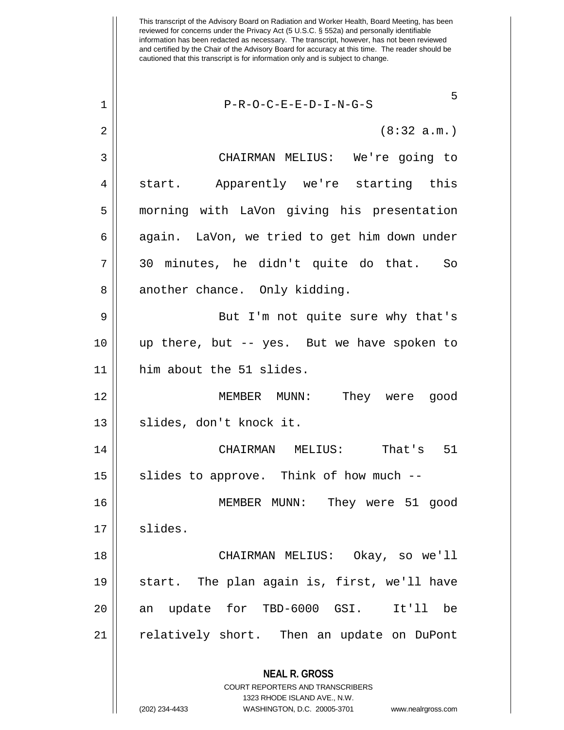This transcript of the Advisory Board on Radiation and Worker Health, Board Meeting, has been reviewed for concerns under the Privacy Act (5 U.S.C. § 552a) and personally identifiable information has been redacted as necessary. The transcript, however, has not been reviewed and certified by the Chair of the Advisory Board for accuracy at this time. The reader should be cautioned that this transcript is for information only and is subject to change. **NEAL R. GROSS** 5 1 P-R-O-C-E-E-D-I-N-G-S  $2 \parallel$  (8:32 a.m.) 3 CHAIRMAN MELIUS: We're going to 4 || start. Apparently we're starting this 5 morning with LaVon giving his presentation  $6 \parallel$  again. LaVon, we tried to get him down under 7 30 minutes, he didn't quite do that. So  $8 \parallel$  another chance. Only kidding. 9 || But I'm not quite sure why that's 10 up there, but -- yes. But we have spoken to 11 him about the 51 slides. 12 MEMBER MUNN: They were good 13 || slides, don't knock it. 14 CHAIRMAN MELIUS: That's 51  $15$  slides to approve. Think of how much  $-$ 16 MEMBER MUNN: They were 51 good  $17 \parallel$  slides. 18 CHAIRMAN MELIUS: Okay, so we'll 19 start. The plan again is, first, we'll have 20 an update for TBD-6000 GSI. It'll be 21 | relatively short. Then an update on DuPont

> COURT REPORTERS AND TRANSCRIBERS 1323 RHODE ISLAND AVE., N.W.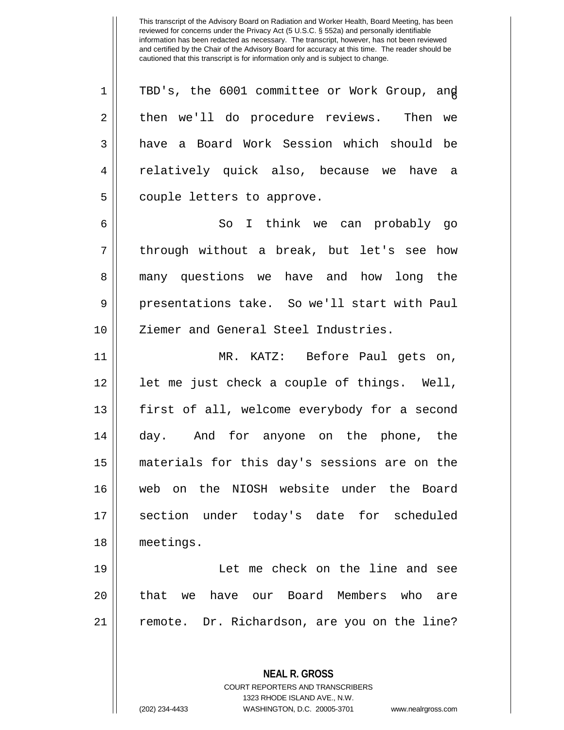1 || TBD's, the 6001 committee or Work Group, and 2 || then we'll do procedure reviews. Then we  $3 \parallel$  have a Board Work Session which should be 4 || relatively quick also, because we have a 5 || couple letters to approve.

6 So I think we can probably go 7 || through without a break, but let's see how 8 many questions we have and how long the 9 presentations take. So we'll start with Paul 10 || Ziemer and General Steel Industries.

11 MR. KATZ: Before Paul gets on, 12 || let me just check a couple of things. Well, 13 || first of all, welcome everybody for a second 14 || day. And for anyone on the phone, the 15 materials for this day's sessions are on the 16 web on the NIOSH website under the Board 17 || section under today's date for scheduled 18 meetings.

19 Let me check on the line and see 20 H that we have our Board Members who are 21 || remote. Dr. Richardson, are you on the line?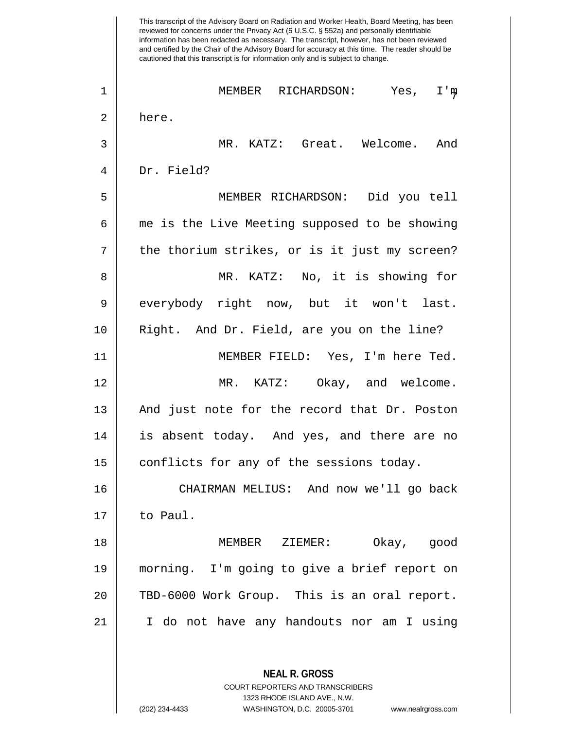This transcript of the Advisory Board on Radiation and Worker Health, Board Meeting, has been reviewed for concerns under the Privacy Act (5 U.S.C. § 552a) and personally identifiable information has been redacted as necessary. The transcript, however, has not been reviewed and certified by the Chair of the Advisory Board for accuracy at this time. The reader should be cautioned that this transcript is for information only and is subject to change. **NEAL R. GROSS** COURT REPORTERS AND TRANSCRIBERS 1323 RHODE ISLAND AVE., N.W. <sup>7</sup> <sup>1</sup> MEMBER RICHARDSON: Yes, I'm 2 || here. 3 MR. KATZ: Great. Welcome. And 4 Dr. Field? 5 MEMBER RICHARDSON: Did you tell 6 | me is the Live Meeting supposed to be showing  $7 \parallel$  the thorium strikes, or is it just my screen? 8 || MR. KATZ: No, it is showing for 9 everybody right now, but it won't last. 10 Right. And Dr. Field, are you on the line? 11 MEMBER FIELD: Yes, I'm here Ted. 12 MR. KATZ: Okay, and welcome. 13 || And just note for the record that Dr. Poston 14 is absent today. And yes, and there are no 15 | conflicts for any of the sessions today. 16 CHAIRMAN MELIUS: And now we'll go back 17 to Paul. 18 MEMBER ZIEMER: Okay, good 19 morning. I'm going to give a brief report on 20 || TBD-6000 Work Group. This is an oral report. 21 I do not have any handouts nor am I using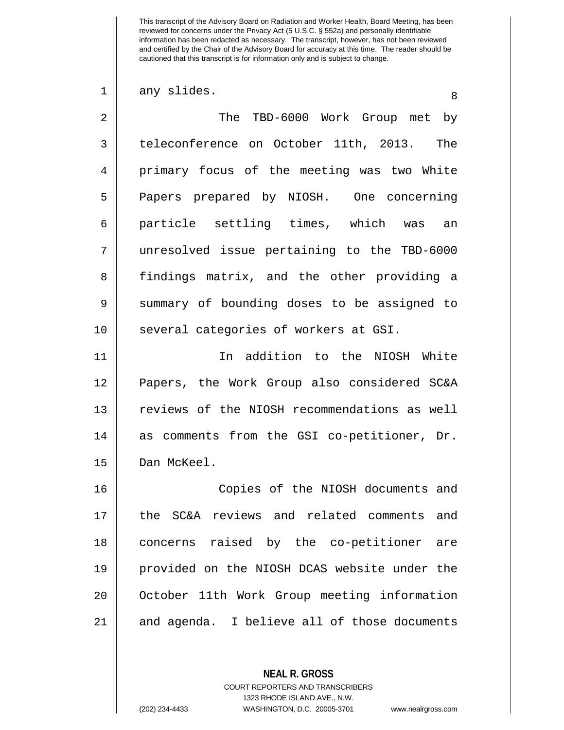$\begin{array}{c|c} 1 & \text{any slides.} \end{array}$ 

2 The TBD-6000 Work Group met by 3 teleconference on October 11th, 2013. The 4 primary focus of the meeting was two White 5 || Papers prepared by NIOSH. One concerning 6 particle settling times, which was an 7 unresolved issue pertaining to the TBD-6000 8 || findings matrix, and the other providing a 9 Summary of bounding doses to be assigned to 10 || several categories of workers at GSI. 11 In addition to the NIOSH White 12 Papers, the Work Group also considered SC&A 13 || reviews of the NIOSH recommendations as well

15 | Dan McKeel.

 Copies of the NIOSH documents and the SC&A reviews and related comments and concerns raised by the co-petitioner are provided on the NIOSH DCAS website under the 20 || October 11th Work Group meeting information 21 and agenda. I believe all of those documents

14 || as comments from the GSI co-petitioner, Dr.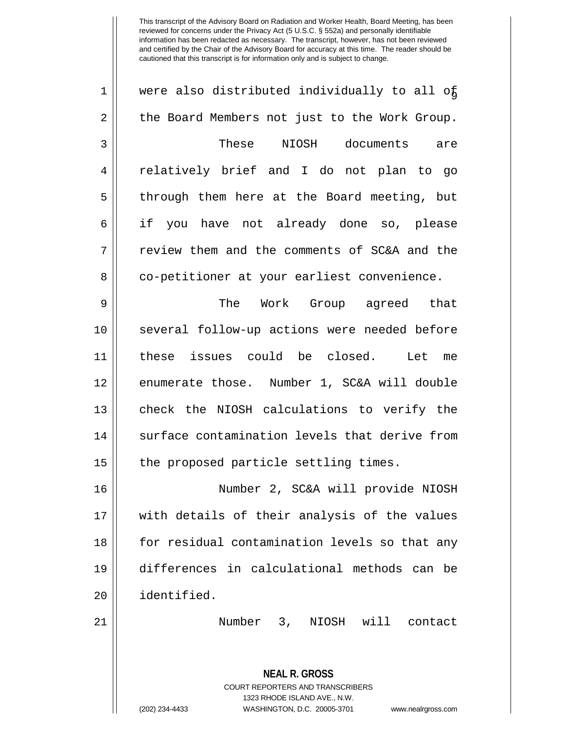| $\mathbf 1$    | were also distributed individually to all of  |
|----------------|-----------------------------------------------|
| 2              | the Board Members not just to the Work Group. |
| 3              | These<br>NIOSH documents are                  |
| $\overline{4}$ | relatively brief and I do not plan to go      |
| 5              | through them here at the Board meeting, but   |
| 6              | if you have not already done so, please       |
| 7              | review them and the comments of SC&A and the  |
| 8              | co-petitioner at your earliest convenience.   |
| 9              | The Work Group agreed that                    |
| 10             | several follow-up actions were needed before  |
| 11             | these issues could be closed. Let me          |
| 12             | enumerate those. Number 1, SC&A will double   |
| 13             | check the NIOSH calculations to verify the    |
| 14             | surface contamination levels that derive from |
| 15             | the proposed particle settling times.         |
| 16             | Number 2, SC&A will provide NIOSH             |
| 17             | with details of their analysis of the values  |
| 18             | for residual contamination levels so that any |
| 19             | differences in calculational methods can be   |

identified.

21 | Number 3, NIOSH will contact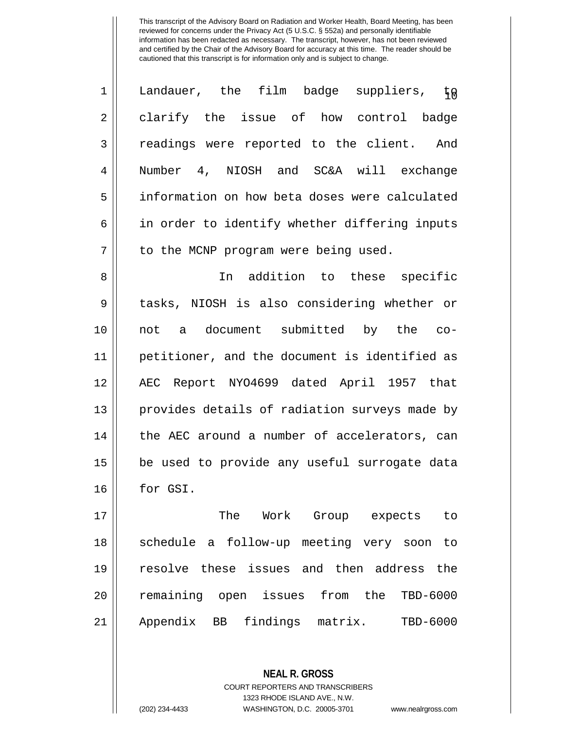| $\mathbf 1$    | Landauer, the film badge suppliers,<br>FA     |
|----------------|-----------------------------------------------|
| 2              | clarify the issue of how control<br>badge     |
| 3              | readings were reported to the client.<br>And  |
| $\overline{4}$ | Number 4, NIOSH and SC&A will exchange        |
| 5              | information on how beta doses were calculated |
| 6              | in order to identify whether differing inputs |
| 7              | to the MCNP program were being used.          |

8 || In addition to these specific 9 || tasks, NIOSH is also considering whether or 10 not a document submitted by the co-11 petitioner, and the document is identified as 12 AEC Report NYO4699 dated April 1957 that 13 || provides details of radiation surveys made by 14 || the AEC around a number of accelerators, can 15 || be used to provide any useful surrogate data 16 for GSI.

 The Work Group expects to 18 || schedule a follow-up meeting very soon to resolve these issues and then address the remaining open issues from the TBD-6000 Appendix BB findings matrix. TBD-6000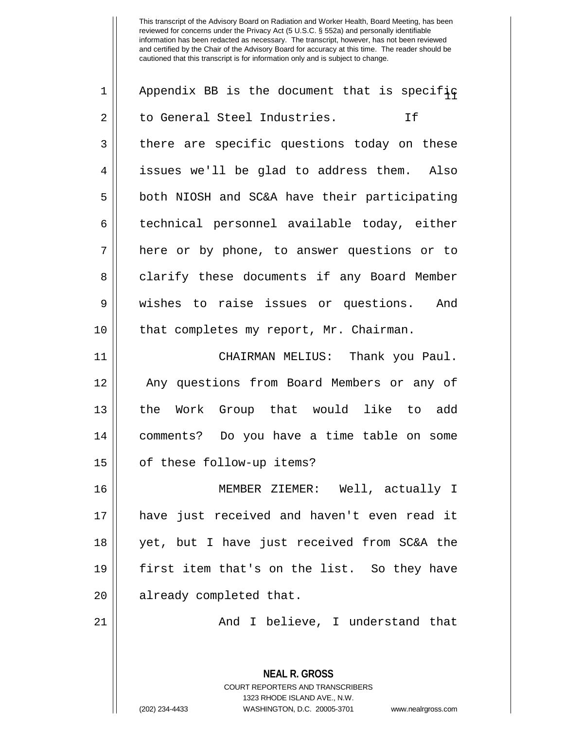| $\mathbf 1$    | Appendix BB is the document that is specifiq                                                                                                                    |
|----------------|-----------------------------------------------------------------------------------------------------------------------------------------------------------------|
| $\overline{2}$ | to General Steel Industries.<br>If                                                                                                                              |
| 3              | there are specific questions today on these                                                                                                                     |
| $\overline{4}$ | issues we'll be glad to address them. Also                                                                                                                      |
| 5              | both NIOSH and SC&A have their participating                                                                                                                    |
| 6              | technical personnel available today, either                                                                                                                     |
| 7              | here or by phone, to answer questions or to                                                                                                                     |
| 8              | clarify these documents if any Board Member                                                                                                                     |
| 9              | wishes to raise issues or questions. And                                                                                                                        |
| 10             | that completes my report, Mr. Chairman.                                                                                                                         |
| 11             | CHAIRMAN MELIUS: Thank you Paul.                                                                                                                                |
| 12             | Any questions from Board Members or any of                                                                                                                      |
| 13             | the Work Group that would like to add                                                                                                                           |
| 14             | comments? Do you have a time table on some                                                                                                                      |
| 15             | of these follow-up items?                                                                                                                                       |
| 16             | MEMBER ZIEMER: Well, actually I                                                                                                                                 |
| 17             | have just received and haven't even read it                                                                                                                     |
| 18             | yet, but I have just received from SC&A the                                                                                                                     |
| 19             | first item that's on the list. So they have                                                                                                                     |
| 20             | already completed that.                                                                                                                                         |
| 21             | And I believe, I understand that                                                                                                                                |
|                | <b>NEAL R. GROSS</b><br>COURT REPORTERS AND TRANSCRIBERS<br>1323 RHODE ISLAND AVE., N.W.<br>(202) 234-4433<br>WASHINGTON, D.C. 20005-3701<br>www.nealrgross.com |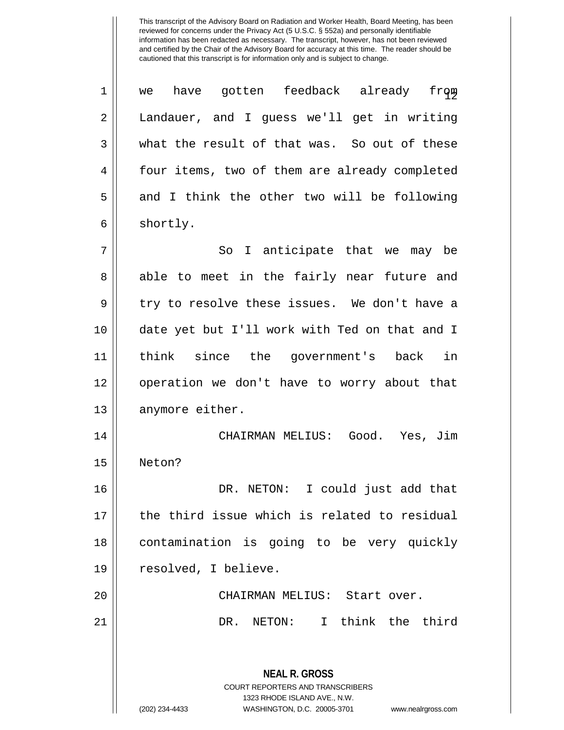**NEAL R. GROSS** COURT REPORTERS AND TRANSCRIBERS 1323 RHODE ISLAND AVE., N.W. (202) 234-4433 WASHINGTON, D.C. 20005-3701 www.nealrgross.com  $\begin{array}{c}\n 1 \parallel \end{array}$  we have gotten feedback already from 2 Landauer, and I guess we'll get in writing  $3 \parallel$  what the result of that was. So out of these 4 | four items, two of them are already completed  $5 \parallel$  and I think the other two will be following  $6 \parallel$  shortly. 7 So I anticipate that we may be 8 || able to meet in the fairly near future and  $9 \parallel$  try to resolve these issues. We don't have a 10 date yet but I'll work with Ted on that and I 11 think since the government's back in 12 operation we don't have to worry about that 13 || anymore either. 14 CHAIRMAN MELIUS: Good. Yes, Jim 15 Neton? 16 DR. NETON: I could just add that 17 the third issue which is related to residual 18 contamination is going to be very quickly 19 | resolved, I believe. 20 CHAIRMAN MELIUS: Start over. 21 DR. NETON: I think the third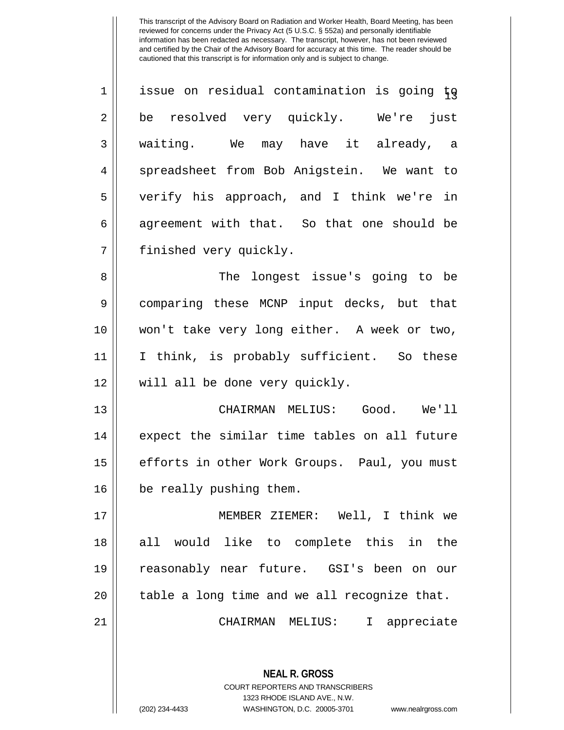| $\mathbf 1$ | issue on residual contamination is going to |
|-------------|---------------------------------------------|
| 2           | be resolved very quickly. We're just        |
| 3           | waiting. We may have it already, a          |
| 4           | spreadsheet from Bob Anigstein. We want to  |
| 5           | verify his approach, and I think we're in   |
| 6           | agreement with that. So that one should be  |
| 7           | finished very quickly.                      |
| 8           | The longest issue's going to be             |
| 9           | comparing these MCNP input decks, but that  |
| 10          | won't take very long either. A week or two, |
| 11          | I think, is probably sufficient. So these   |

12 || will all be done very quickly.

13 || CHAIRMAN MELIUS: Good. We'll 14 || expect the similar time tables on all future 15 | efforts in other Work Groups. Paul, you must 16 | be really pushing them.

 MEMBER ZIEMER: Well, I think we 18 || all would like to complete this in the reasonably near future. GSI's been on our || table a long time and we all recognize that. CHAIRMAN MELIUS: I appreciate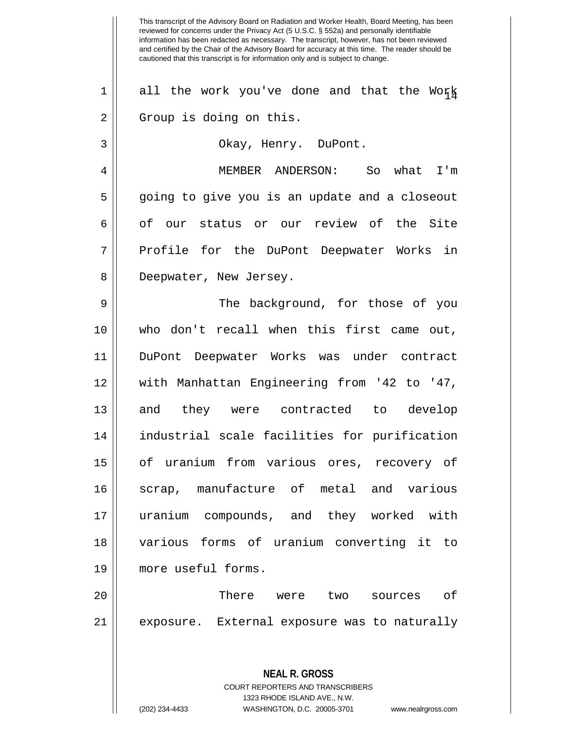This transcript of the Advisory Board on Radiation and Worker Health, Board Meeting, has been reviewed for concerns under the Privacy Act (5 U.S.C. § 552a) and personally identifiable information has been redacted as necessary. The transcript, however, has not been reviewed and certified by the Chair of the Advisory Board for accuracy at this time. The reader should be cautioned that this transcript is for information only and is subject to change. **NEAL R. GROSS**  $1 \parallel$  all the work you've done and that the Work 2 || Group is doing on this. 3 Okay, Henry. DuPont. 4 MEMBER ANDERSON: So what I'm 5 going to give you is an update and a closeout 6 || of our status or our review of the Site 7 || Profile for the DuPont Deepwater Works in 8 || Deepwater, New Jersey. 9 || The background, for those of you 10 who don't recall when this first came out, 11 DuPont Deepwater Works was under contract 12 with Manhattan Engineering from '42 to '47, 13 and they were contracted to develop 14 industrial scale facilities for purification 15 of uranium from various ores, recovery of 16 Scrap, manufacture of metal and various 17 uranium compounds, and they worked with 18 various forms of uranium converting it to 19 more useful forms. 20 There were two sources of 21 || exposure. External exposure was to naturally

> COURT REPORTERS AND TRANSCRIBERS 1323 RHODE ISLAND AVE., N.W.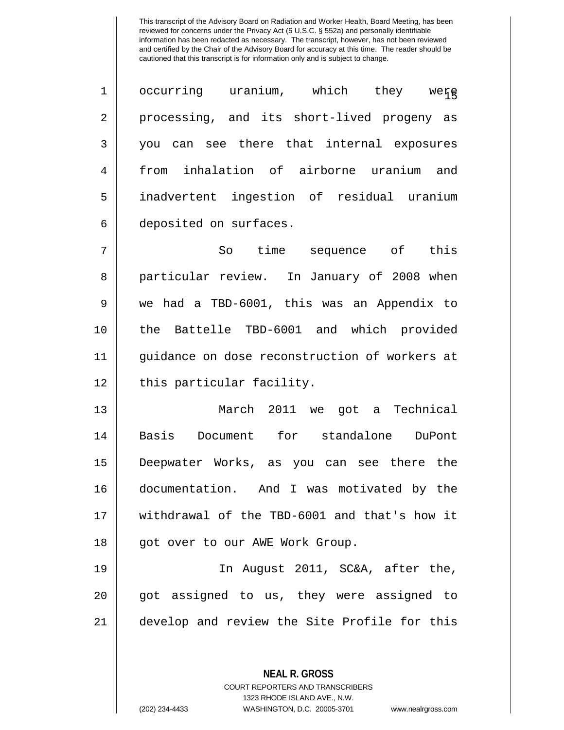$\begin{array}{ccc} 1 & \text{ occurring} & \text{uranium}, & \text{which} & \text{they} & \text{weff} \end{array}$ 2 || processing, and its short-lived progeny as you can see there that internal exposures from inhalation of airborne uranium and inadvertent ingestion of residual uranium deposited on surfaces.

 So time sequence of this 8 || particular review. In January of 2008 when we had a TBD-6001, this was an Appendix to the Battelle TBD-6001 and which provided guidance on dose reconstruction of workers at 12 || this particular facility.

 March 2011 we got a Technical Basis Document for standalone DuPont Deepwater Works, as you can see there the documentation. And I was motivated by the withdrawal of the TBD-6001 and that's how it 18 || got over to our AWE Work Group.

19 In August 2011, SC&A, after the, 20 got assigned to us, they were assigned to 21 develop and review the Site Profile for this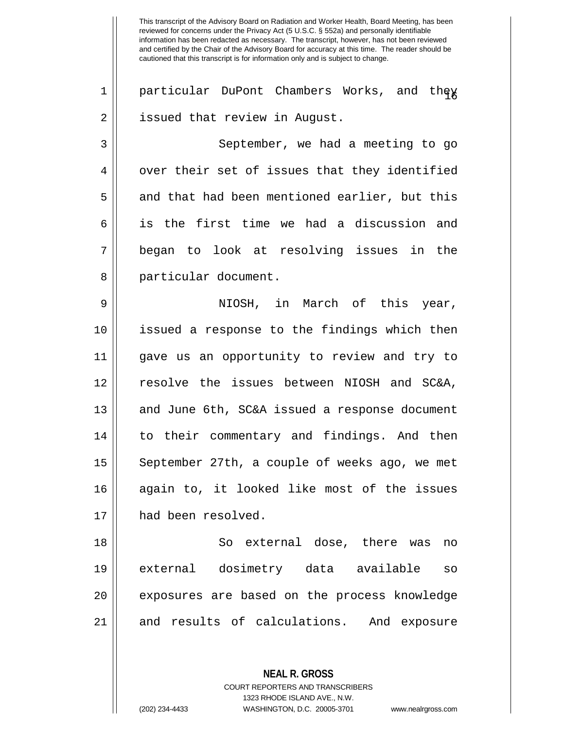This transcript of the Advisory Board on Radiation and Worker Health, Board Meeting, has been reviewed for concerns under the Privacy Act (5 U.S.C. § 552a) and personally identifiable information has been redacted as necessary. The transcript, however, has not been reviewed and certified by the Chair of the Advisory Board for accuracy at this time. The reader should be cautioned that this transcript is for information only and is subject to change. 1 || particular DuPont Chambers Works, and they 2 || issued that review in August. 3 || September, we had a meeting to go  $4 \parallel$  over their set of issues that they identified  $5 \parallel$  and that had been mentioned earlier, but this 6 || is the first time we had a discussion and 7 began to look at resolving issues in the 8 || particular document. 9 NIOSH, in March of this year, 10 issued a response to the findings which then 11 gave us an opportunity to review and try to 12 resolve the issues between NIOSH and SC&A, 13 || and June 6th, SC&A issued a response document 14 || to their commentary and findings. And then 15 || September 27th, a couple of weeks ago, we met 16 again to, it looked like most of the issues 17 | had been resolved. 18 || So external dose, there was no 19 external dosimetry data available so 20 || exposures are based on the process knowledge 21 || and results of calculations. And exposure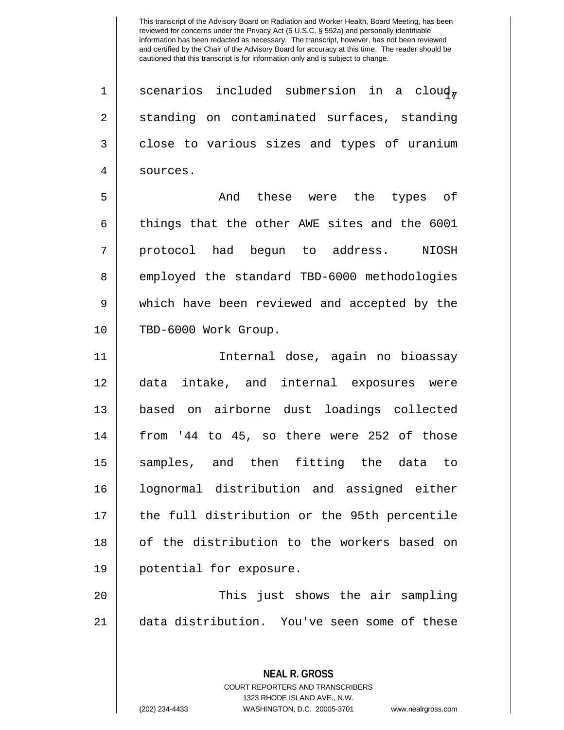1 | scenarios included submersion in a cloud, 2 || standing on contaminated surfaces, standing 3 close to various sizes and types of uranium 4 | sources.

5 And these were the types of  $6 \parallel$  things that the other AWE sites and the 6001 7 || protocol had begun to address. NIOSH 8 employed the standard TBD-6000 methodologies 9 Which have been reviewed and accepted by the 10 TBD-6000 Work Group.

 Internal dose, again no bioassay data intake, and internal exposures were based on airborne dust loadings collected | from '44 to 45, so there were 252 of those samples, and then fitting the data to lognormal distribution and assigned either 17 || the full distribution or the 95th percentile 18 || of the distribution to the workers based on potential for exposure.

20 This just shows the air sampling 21 data distribution. You've seen some of these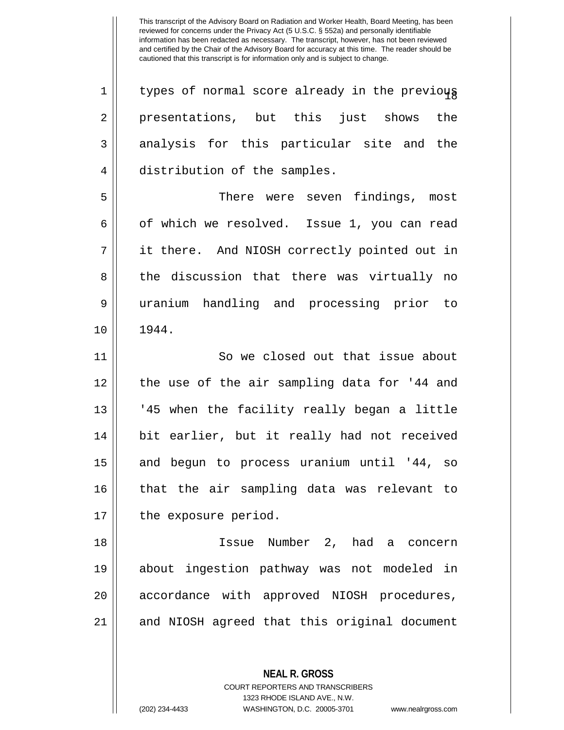$1$  | types of normal score already in the previous 2 || presentations, but this just shows the 3 analysis for this particular site and the 4 distribution of the samples. 5 There were seven findings, most  $6 \parallel$  of which we resolved. Issue 1, you can read 7 it there. And NIOSH correctly pointed out in 8 || the discussion that there was virtually no 9 uranium handling and processing prior to 10 1944. 11 || So we closed out that issue about 12 the use of the air sampling data for '44 and 13 || '45 when the facility really began a little 14 || bit earlier, but it really had not received 15 and begun to process uranium until '44, so 16 that the air sampling data was relevant to 17 | the exposure period. 18 Issue Number 2, had a concern 19 about ingestion pathway was not modeled in 20 || accordance with approved NIOSH procedures, 21 || and NIOSH agreed that this original document

> COURT REPORTERS AND TRANSCRIBERS 1323 RHODE ISLAND AVE., N.W.

**NEAL R. GROSS**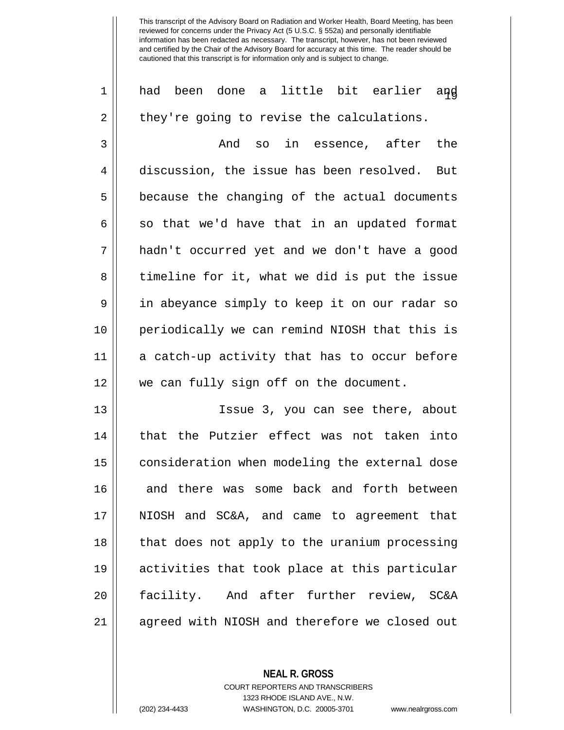1|| had been done a little bit earlier and  $2 \parallel$  they're going to revise the calculations. 3 And so in essence, after the 4 discussion, the issue has been resolved. But  $5 \parallel$  because the changing of the actual documents  $6 \parallel$  so that we'd have that in an updated format 7 hadn't occurred yet and we don't have a good 8 || timeline for it, what we did is put the issue 9 || in abeyance simply to keep it on our radar so 10 periodically we can remind NIOSH that this is 11 a catch-up activity that has to occur before 12 we can fully sign off on the document. 13 Issue 3, you can see there, about 14 || that the Putzier effect was not taken into 15 || consideration when modeling the external dose 16 and there was some back and forth between 17 NIOSH and SC&A, and came to agreement that 18 || that does not apply to the uranium processing 19 activities that took place at this particular 20 facility. And after further review, SC&A

21 || agreed with NIOSH and therefore we closed out

**NEAL R. GROSS** COURT REPORTERS AND TRANSCRIBERS 1323 RHODE ISLAND AVE., N.W.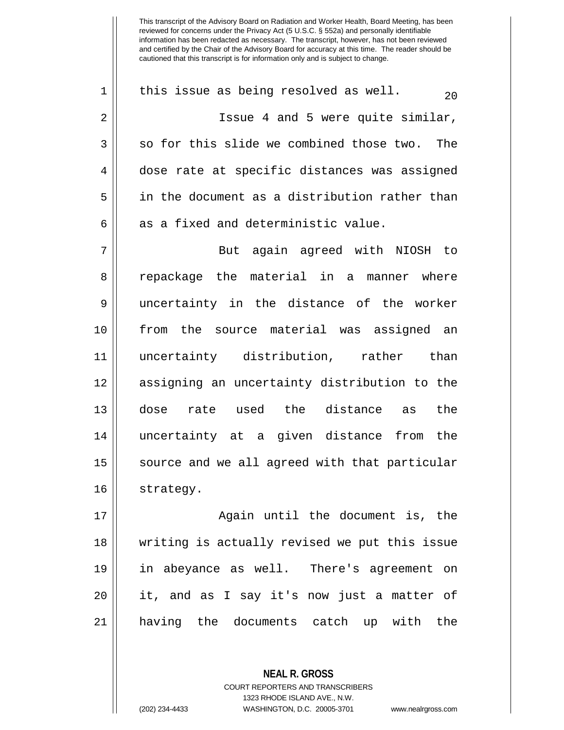1 || this issue as being resolved as well.  $\frac{20}{20}$ 2 || Issue 4 and 5 were quite similar,  $3 \parallel$  so for this slide we combined those two. The 4 dose rate at specific distances was assigned 5 in the document as a distribution rather than  $6$  || as a fixed and deterministic value. 7 || But again agreed with NIOSH to 8 || repackage the material in a manner where 9 uncertainty in the distance of the worker 10 from the source material was assigned an 11 uncertainty distribution, rather than 12 assigning an uncertainty distribution to the 13 dose rate used the distance as the 14 uncertainty at a given distance from the 15 | source and we all agreed with that particular

16 | strategy.

17 || Again until the document is, the writing is actually revised we put this issue in abeyance as well. There's agreement on it, and as I say it's now just a matter of having the documents catch up with the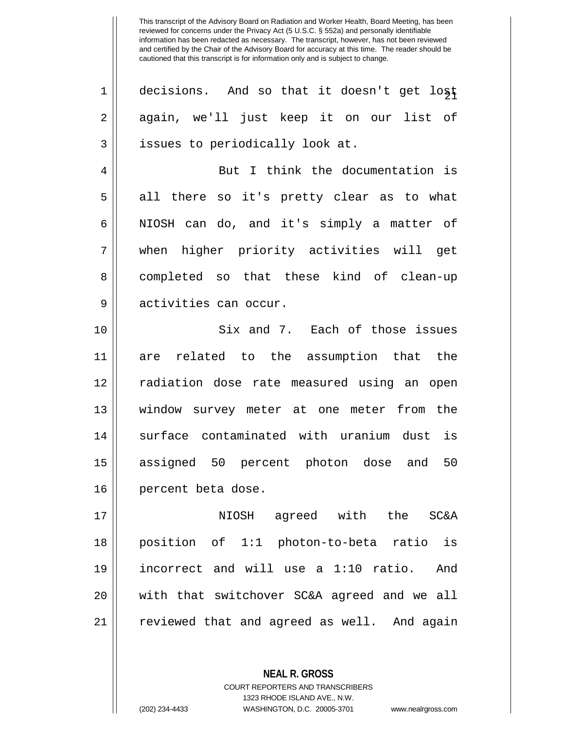| $\mathbf 1$ | decisions. And so that it doesn't get lost  |
|-------------|---------------------------------------------|
| 2           | again, we'll just keep it on our list of    |
| 3           | issues to periodically look at.             |
| 4           | But I think the documentation is            |
| 5           | all there so it's pretty clear as to what   |
| 6           | NIOSH can do, and it's simply a matter of   |
| 7           | when higher priority activities will get    |
| 8           | completed so that these kind of clean-up    |
| 9           | activities can occur.                       |
| 10          | Six and 7. Each of those issues             |
| 11          | are related to the assumption that the      |
| 12          | radiation dose rate measured using an open  |
| 13          | window survey meter at one meter from the   |
| 14          | surface contaminated with uranium dust is   |
| 15          | assigned 50 percent photon dose and 50      |
| 16          | percent beta dose.                          |
| 17          | NIOSH agreed with the<br><b>SC&amp;A</b>    |
| 18          | position of 1:1 photon-to-beta ratio is     |
| 19          | incorrect and will use a 1:10 ratio.<br>And |
| 20          | with that switchover SC&A agreed and we all |
| 21          | reviewed that and agreed as well. And again |
|             |                                             |

**NEAL R. GROSS** COURT REPORTERS AND TRANSCRIBERS

1323 RHODE ISLAND AVE., N.W.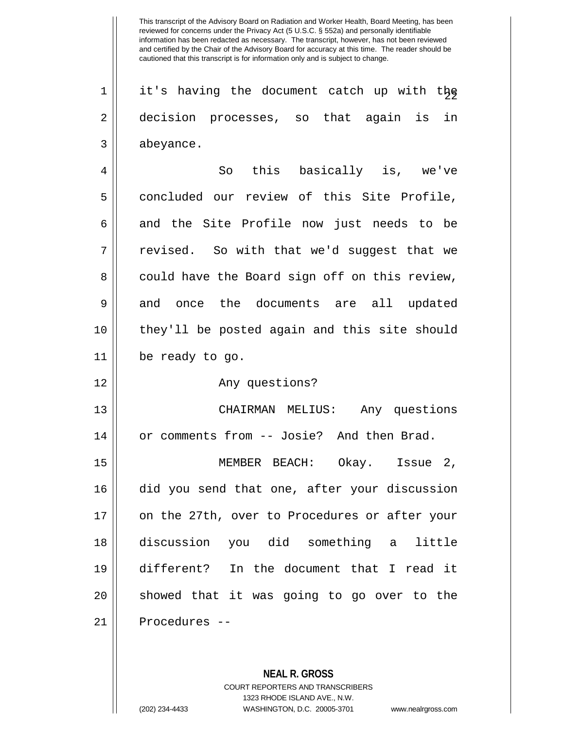$1$  | it's having the document catch up with the 2 decision processes, so that again is in 3 abeyance. 4 So this basically is, we've 5 | concluded our review of this Site Profile,  $6 \parallel$  and the Site Profile now just needs to be 7 || revised. So with that we'd suggest that we 8 could have the Board sign off on this review, 9 and once the documents are all updated 10 they'll be posted again and this site should 11 be ready to go. 12 Any questions?

13 CHAIRMAN MELIUS: Any questions 14 | or comments from -- Josie? And then Brad.

 MEMBER BEACH: Okay. Issue 2, did you send that one, after your discussion 17 || on the 27th, over to Procedures or after your discussion you did something a little different? In the document that I read it 20 || showed that it was going to go over to the Procedures --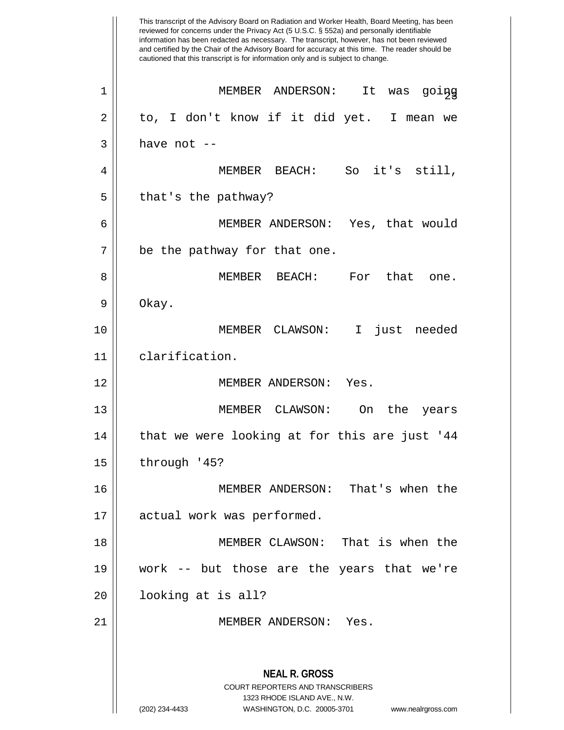This transcript of the Advisory Board on Radiation and Worker Health, Board Meeting, has been reviewed for concerns under the Privacy Act (5 U.S.C. § 552a) and personally identifiable information has been redacted as necessary. The transcript, however, has not been reviewed and certified by the Chair of the Advisory Board for accuracy at this time. The reader should be cautioned that this transcript is for information only and is subject to change. **NEAL R. GROSS** COURT REPORTERS AND TRANSCRIBERS 1323 RHODE ISLAND AVE., N.W. (202) 234-4433 WASHINGTON, D.C. 20005-3701 www.nealrgross.com <sup>23</sup> <sup>1</sup> MEMBER ANDERSON: It was going  $2 \parallel$  to, I don't know if it did yet. I mean we  $3 \parallel$  have not  $-$ 4 MEMBER BEACH: So it's still,  $5 \parallel$  that's the pathway? 6 MEMBER ANDERSON: Yes, that would 7 || be the pathway for that one. 8 MEMBER BEACH: For that one.  $9 \parallel$  Okay. 10 MEMBER CLAWSON: I just needed 11 clarification. 12 || MEMBER ANDERSON: Yes. 13 MEMBER CLAWSON: On the years  $14$  | that we were looking at for this are just '44  $15$  | through '45? 16 MEMBER ANDERSON: That's when the 17 || actual work was performed. 18 MEMBER CLAWSON: That is when the 19 work -- but those are the years that we're 20 looking at is all? 21 || MEMBER ANDERSON: Yes.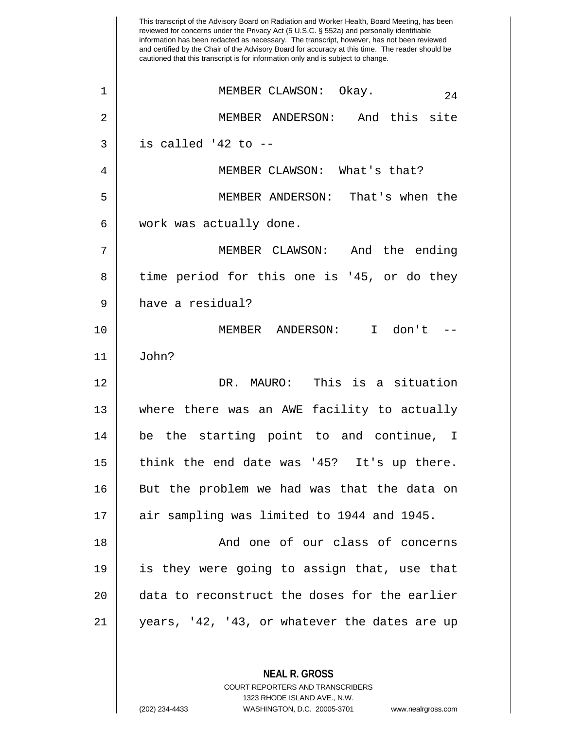This transcript of the Advisory Board on Radiation and Worker Health, Board Meeting, has been reviewed for concerns under the Privacy Act (5 U.S.C. § 552a) and personally identifiable information has been redacted as necessary. The transcript, however, has not been reviewed and certified by the Chair of the Advisory Board for accuracy at this time. The reader should be cautioned that this transcript is for information only and is subject to change. **NEAL R. GROSS** <sup>24</sup> <sup>1</sup> MEMBER CLAWSON: Okay. 2 MEMBER ANDERSON: And this site  $3 \parallel$  is called '42 to --4 || MEMBER CLAWSON: What's that? 5 MEMBER ANDERSON: That's when the 6 | work was actually done. 7 MEMBER CLAWSON: And the ending 8 || time period for this one is '45, or do they 9 | have a residual? 10 || MEMBER ANDERSON: I don't 11 John? 12 DR. MAURO: This is a situation 13 where there was an AWE facility to actually 14 be the starting point to and continue, I 15 think the end date was '45? It's up there. 16 || But the problem we had was that the data on 17 || air sampling was limited to 1944 and 1945. 18 And one of our class of concerns 19 is they were going to assign that, use that 20 data to reconstruct the doses for the earlier 21 years, '42, '43, or whatever the dates are up

> COURT REPORTERS AND TRANSCRIBERS 1323 RHODE ISLAND AVE., N.W.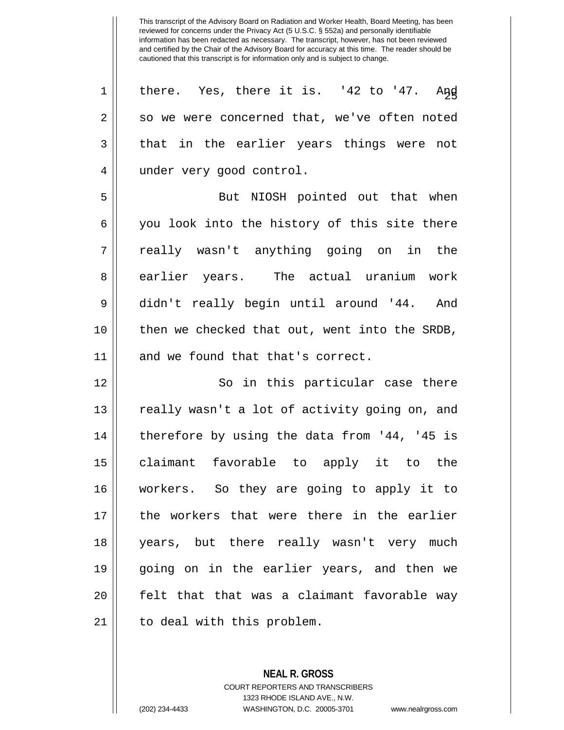$1 \parallel$  there. Yes, there it is. '42 to '47. And 2 || so we were concerned that, we've often noted  $3 \parallel$  that in the earlier years things were not 4 | under very good control.

5 || But NIOSH pointed out that when 6 || you look into the history of this site there 7 really wasn't anything going on in the 8 earlier years. The actual uranium work 9 didn't really begin until around '44. And 10 then we checked that out, went into the SRDB, 11 || and we found that that's correct.

 So in this particular case there  $\parallel$  really wasn't a lot of activity going on, and  $\parallel$  therefore by using the data from '44, '45 is claimant favorable to apply it to the workers. So they are going to apply it to the workers that were there in the earlier years, but there really wasn't very much going on in the earlier years, and then we 20 || felt that that was a claimant favorable way 21 || to deal with this problem.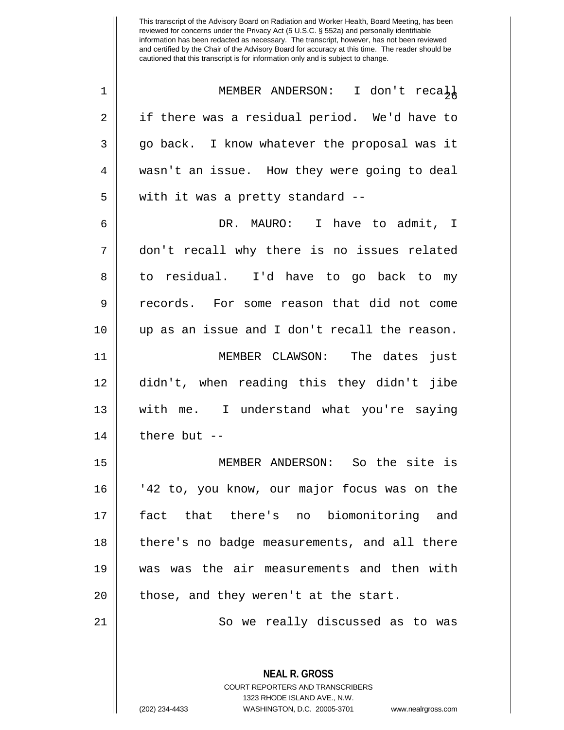| 1  | MEMBER ANDERSON: I don't recall               |
|----|-----------------------------------------------|
| 2  | if there was a residual period. We'd have to  |
| 3  | go back. I know whatever the proposal was it  |
| 4  | wasn't an issue. How they were going to deal  |
| 5  | with it was a pretty standard --              |
| 6  | DR. MAURO: I have to admit, I                 |
| 7  | don't recall why there is no issues related   |
| 8  | to residual. I'd have to go back to my        |
| 9  | records. For some reason that did not come    |
| 10 | up as an issue and I don't recall the reason. |
| 11 | MEMBER CLAWSON: The dates just                |
| 12 | didn't, when reading this they didn't jibe    |
| 13 | with me. I understand what you're saying      |
| 14 | there but --                                  |
| 15 | MEMBER ANDERSON: So the site is               |
| 16 | '42 to, you know, our major focus was on the  |
| 17 | that there's no biomonitoring and<br>fact     |
| 18 | there's no badge measurements, and all there  |
| 19 | was was the air measurements and then with    |
| 20 | those, and they weren't at the start.         |

21 | So we really discussed as to was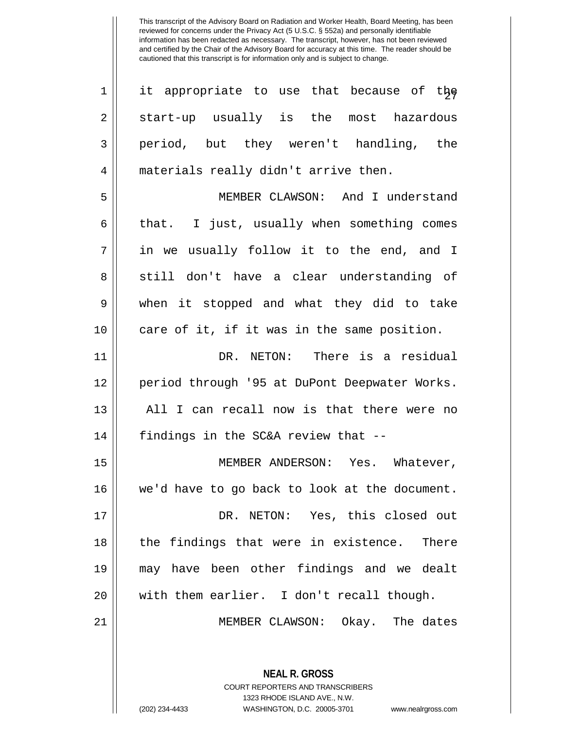| $\mathbf 1$    | it appropriate to use that because of the                                                       |
|----------------|-------------------------------------------------------------------------------------------------|
| $\overline{2}$ | start-up usually is the most hazardous                                                          |
| 3              | period, but they weren't handling, the                                                          |
| 4              | materials really didn't arrive then.                                                            |
| 5              | MEMBER CLAWSON: And I understand                                                                |
| 6              | that. I just, usually when something comes                                                      |
| 7              | in we usually follow it to the end, and I                                                       |
| 8              | still don't have a clear understanding of                                                       |
| 9              | when it stopped and what they did to take                                                       |
| 10             | care of it, if it was in the same position.                                                     |
| 11             | DR. NETON: There is a residual                                                                  |
| 12             | period through '95 at DuPont Deepwater Works.                                                   |
| 13             | All I can recall now is that there were no                                                      |
| 14             | findings in the SC&A review that --                                                             |
| 15             | MEMBER ANDERSON: Yes. Whatever,                                                                 |
| 16             | we'd have to go back to look at the document.                                                   |
| 17             | DR. NETON: Yes, this closed out                                                                 |
| 18             | the findings that were in existence. There                                                      |
| 19             | may have been other findings and we dealt                                                       |
| 20             | with them earlier. I don't recall though.                                                       |
| 21             | MEMBER CLAWSON: Okay. The dates                                                                 |
|                |                                                                                                 |
|                | <b>NEAL R. GROSS</b><br><b>COURT REPORTERS AND TRANSCRIBERS</b><br>1323 RHODE ISLAND AVE., N.W. |

 $\parallel$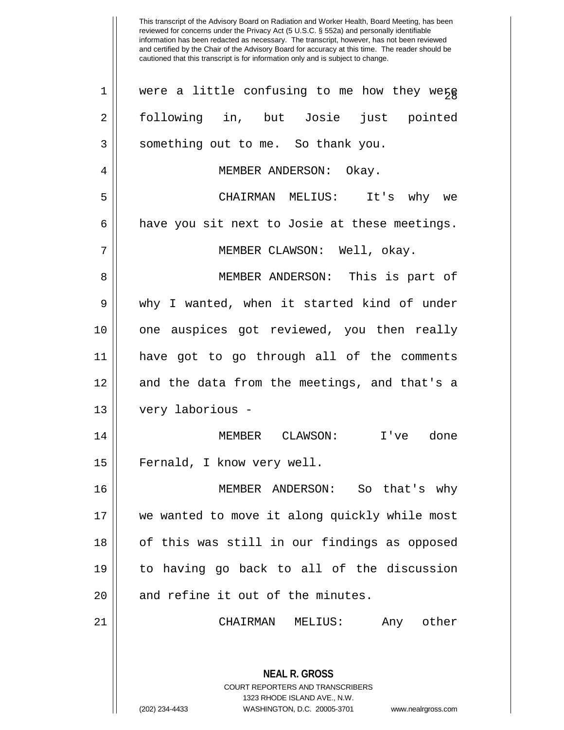This transcript of the Advisory Board on Radiation and Worker Health, Board Meeting, has been reviewed for concerns under the Privacy Act (5 U.S.C. § 552a) and personally identifiable information has been redacted as necessary. The transcript, however, has not been reviewed and certified by the Chair of the Advisory Board for accuracy at this time. The reader should be cautioned that this transcript is for information only and is subject to change. **NEAL R. GROSS** COURT REPORTERS AND TRANSCRIBERS 1323 RHODE ISLAND AVE., N.W. 1 | were a little confusing to me how they were 2 following in, but Josie just pointed 3 || something out to me. So thank you. 4 | MEMBER ANDERSON: Okay. 5 CHAIRMAN MELIUS: It's why we  $6 \parallel$  have you sit next to Josie at these meetings. 7 || MEMBER CLAWSON: Well, okay. 8 MEMBER ANDERSON: This is part of 9 why I wanted, when it started kind of under 10 one auspices got reviewed, you then really 11 have got to go through all of the comments 12 and the data from the meetings, and that's a 13 very laborious - 14 MEMBER CLAWSON: I've done 15 || Fernald, I know very well. 16 MEMBER ANDERSON: So that's why 17 we wanted to move it along quickly while most 18 || of this was still in our findings as opposed 19 to having go back to all of the discussion 20 || and refine it out of the minutes. 21 CHAIRMAN MELIUS: Any other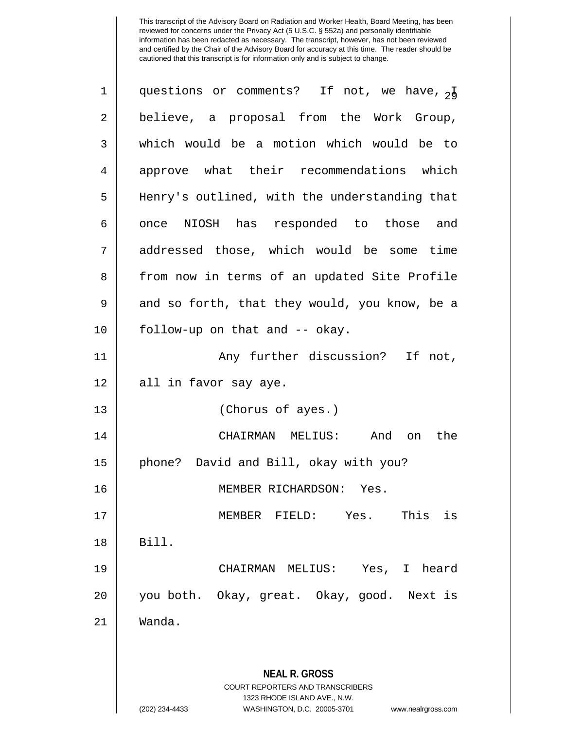| $\mathbf 1$ | questions or comments? If not, we have, $_{24}$                                                                                                                        |
|-------------|------------------------------------------------------------------------------------------------------------------------------------------------------------------------|
| 2           | believe, a proposal from the Work Group,                                                                                                                               |
| 3           | which would be a motion which would be to                                                                                                                              |
| 4           | approve what their recommendations which                                                                                                                               |
| 5           | Henry's outlined, with the understanding that                                                                                                                          |
| 6           | once NIOSH has responded to those and                                                                                                                                  |
| 7           | addressed those, which would be some time                                                                                                                              |
| 8           | from now in terms of an updated Site Profile                                                                                                                           |
| 9           | and so forth, that they would, you know, be a                                                                                                                          |
| 10          | follow-up on that and -- okay.                                                                                                                                         |
| 11          | Any further discussion? If not,                                                                                                                                        |
| 12          | all in favor say aye.                                                                                                                                                  |
| 13          | (Chorus of ayes.)                                                                                                                                                      |
| 14          | CHAIRMAN MELIUS: And on<br>the                                                                                                                                         |
| 15          | phone? David and Bill, okay with you?                                                                                                                                  |
| 16          | MEMBER RICHARDSON: Yes.                                                                                                                                                |
| 17          | This<br>is<br>Yes.<br>MEMBER FIELD:                                                                                                                                    |
| 18          | Bill.                                                                                                                                                                  |
| 19          | CHAIRMAN MELIUS: Yes,<br>I heard                                                                                                                                       |
| 20          | you both. Okay, great. Okay, good. Next is                                                                                                                             |
| 21          | Wanda.                                                                                                                                                                 |
|             |                                                                                                                                                                        |
|             | <b>NEAL R. GROSS</b><br><b>COURT REPORTERS AND TRANSCRIBERS</b><br>1323 RHODE ISLAND AVE., N.W.<br>WASHINGTON, D.C. 20005-3701<br>(202) 234-4433<br>www.nealrgross.com |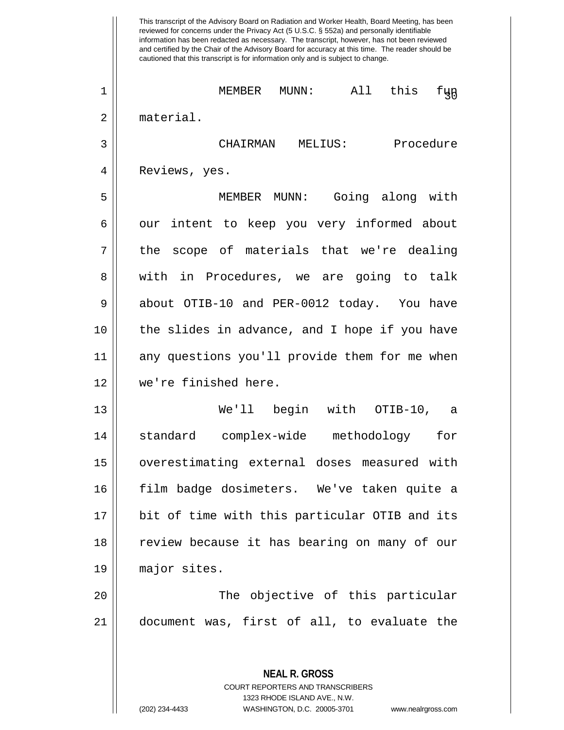This transcript of the Advisory Board on Radiation and Worker Health, Board Meeting, has been reviewed for concerns under the Privacy Act (5 U.S.C. § 552a) and personally identifiable information has been redacted as necessary. The transcript, however, has not been reviewed and certified by the Chair of the Advisory Board for accuracy at this time. The reader should be cautioned that this transcript is for information only and is subject to change. **NEAL R. GROSS** COURT REPORTERS AND TRANSCRIBERS <sup>30</sup> <sup>1</sup> MEMBER MUNN: All this fun 2 material. 3 CHAIRMAN MELIUS: Procedure 4 || Reviews, yes. 5 MEMBER MUNN: Going along with 6 | our intent to keep you very informed about 7 || the scope of materials that we're dealing 8 || with in Procedures, we are going to talk 9 about OTIB-10 and PER-0012 today. You have 10 the slides in advance, and I hope if you have 11 || any questions you'll provide them for me when 12 we're finished here. 13 We'll begin with OTIB-10, a 14 standard complex-wide methodology for 15 overestimating external doses measured with 16 film badge dosimeters. We've taken quite a 17 || bit of time with this particular OTIB and its 18 || review because it has bearing on many of our 19 major sites. 20 The objective of this particular 21 document was, first of all, to evaluate the

1323 RHODE ISLAND AVE., N.W.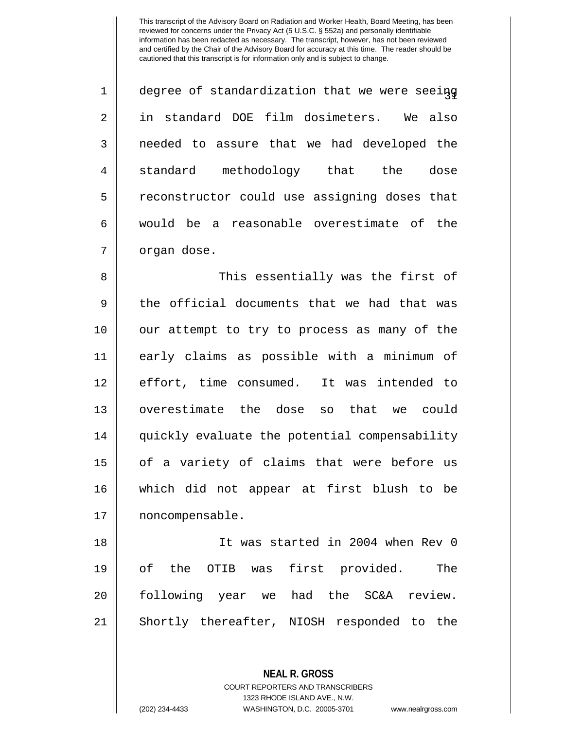| $\mathbf 1$ | degree of standardization that we were seeing  |
|-------------|------------------------------------------------|
| 2           | in standard DOE film dosimeters.<br>We also    |
| 3           | needed to assure that we had developed the     |
| 4           | standard<br>methodology<br>that<br>the<br>dose |
| 5           | reconstructor could use assigning doses that   |
| 6           | would be a reasonable overestimate of the      |
| 7           | organ dose.                                    |

8 This essentially was the first of  $9 \parallel$  the official documents that we had that was 10 our attempt to try to process as many of the 11 early claims as possible with a minimum of 12 effort, time consumed. It was intended to 13 || overestimate the dose so that we could 14 || quickly evaluate the potential compensability 15 || of a variety of claims that were before us 16 which did not appear at first blush to be 17 || noncompensable.

 It was started in 2004 when Rev 0 of the OTIB was first provided. The following year we had the SC&A review. Shortly thereafter, NIOSH responded to the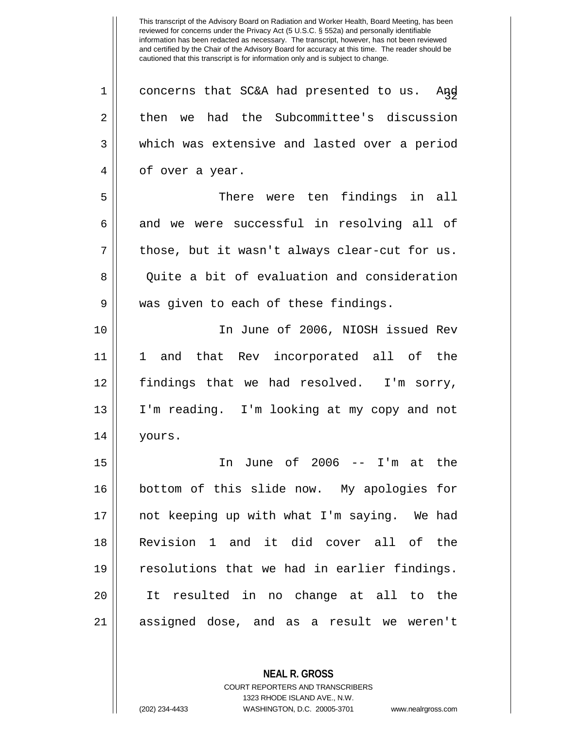$1 \parallel$  concerns that SC&A had presented to us. And 2 then we had the Subcommittee's discussion 3 which was extensive and lasted over a period 4 || of over a year. 5 There were ten findings in all  $6 \parallel$  and we were successful in resolving all of  $7 ||$  those, but it wasn't always clear-cut for us. 8 Quite a bit of evaluation and consideration 9 || was given to each of these findings. 10 In June of 2006, NIOSH issued Rev 11 1 and that Rev incorporated all of the 12 findings that we had resolved. I'm sorry, 13 I'm reading. I'm looking at my copy and not 14 yours. 15 In June of 2006 -- I'm at the 16 bottom of this slide now. My apologies for 17 not keeping up with what I'm saying. We had 18 Revision 1 and it did cover all of the 19 || resolutions that we had in earlier findings. 20 It resulted in no change at all to the 21 assigned dose, and as a result we weren't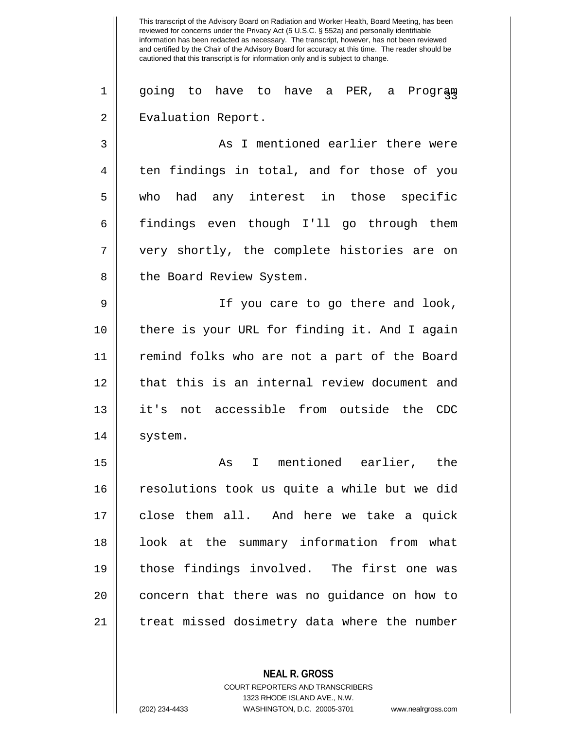1 || going to have to have a PER, a Prograg 2 | Evaluation Report.

3 || As I mentioned earlier there were  $4 \parallel$  ten findings in total, and for those of you 5 || who had any interest in those specific 6 findings even though I'll go through them 7 very shortly, the complete histories are on 8 || the Board Review System.

9 || If you care to go there and look, 10 there is your URL for finding it. And I again 11 remind folks who are not a part of the Board 12 || that this is an internal review document and 13 it's not accessible from outside the CDC 14 | system.

15 || The Mastard Montioned earlier, the 16 resolutions took us quite a while but we did 17 close them all. And here we take a quick 18 || look at the summary information from what 19 those findings involved. The first one was 20 || concern that there was no guidance on how to 21 || treat missed dosimetry data where the number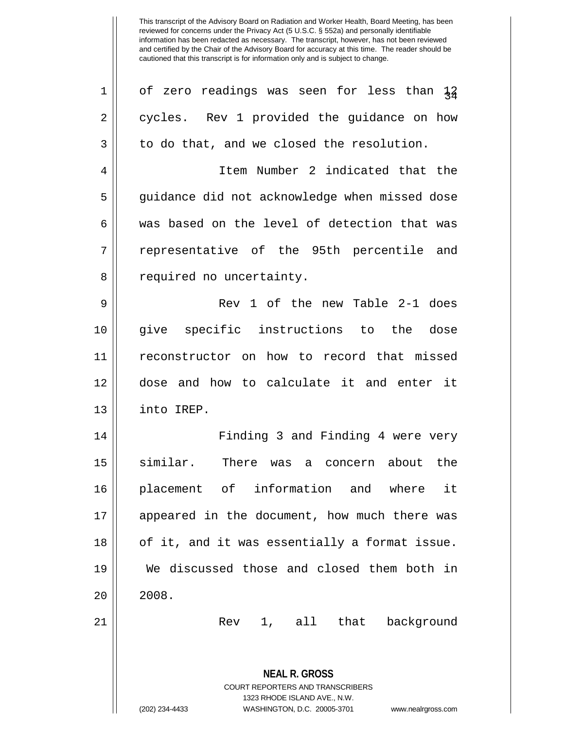| $\mathbf 1$    | of zero readings was seen for less than $\frac{12}{34}$             |
|----------------|---------------------------------------------------------------------|
| 2              | cycles. Rev 1 provided the guidance on how                          |
| 3              | to do that, and we closed the resolution.                           |
| $\overline{4}$ | Item Number 2 indicated that the                                    |
| 5              | guidance did not acknowledge when missed dose                       |
| 6              | was based on the level of detection that was                        |
| 7              | representative of the 95th percentile and                           |
| 8              | required no uncertainty.                                            |
| 9              | Rev 1 of the new Table 2-1 does                                     |
| 10             | specific instructions to the dose<br>give                           |
| 11             | reconstructor on how to record that missed                          |
| 12             | dose and how to calculate it and enter it                           |
| 13             | into IREP.                                                          |
| 14             | Finding 3 and Finding 4 were very                                   |
| 15             | similar.<br>There was<br>concern about the<br>a                     |
| 16             | placement of information and where<br>it                            |
| 17             | appeared in the document, how much there was                        |
| 18             | of it, and it was essentially a format issue.                       |
| 19             | We discussed those and closed them both in                          |
| 20             | 2008.                                                               |
| 21             | 1, all that<br>Rev<br>background                                    |
|                |                                                                     |
|                | <b>NEAL R. GROSS</b>                                                |
|                | <b>COURT REPORTERS AND TRANSCRIBERS</b>                             |
|                | 1323 RHODE ISLAND AVE., N.W.                                        |
|                | (202) 234-4433<br>WASHINGTON, D.C. 20005-3701<br>www.nealrgross.com |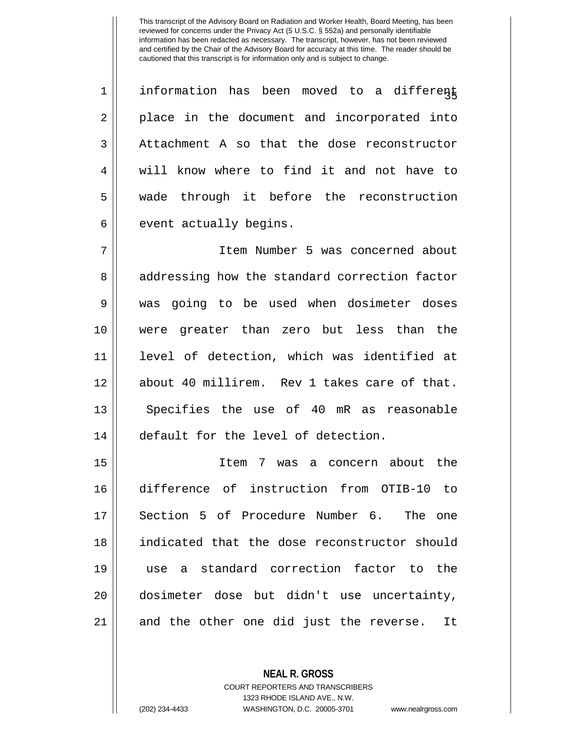$1 \parallel$  information has been moved to a different 2 || place in the document and incorporated into 3 Attachment A so that the dose reconstructor 4 Weill know where to find it and not have to 5 || wade through it before the reconstruction  $6 \parallel$  event actually begins.

 Item Number 5 was concerned about 8 || addressing how the standard correction factor was going to be used when dosimeter doses were greater than zero but less than the level of detection, which was identified at about 40 millirem. Rev 1 takes care of that. 13 || Specifies the use of 40 mR as reasonable default for the level of detection.

 Item 7 was a concern about the difference of instruction from OTIB-10 to Section 5 of Procedure Number 6. The one indicated that the dose reconstructor should use a standard correction factor to the dosimeter dose but didn't use uncertainty, and the other one did just the reverse. It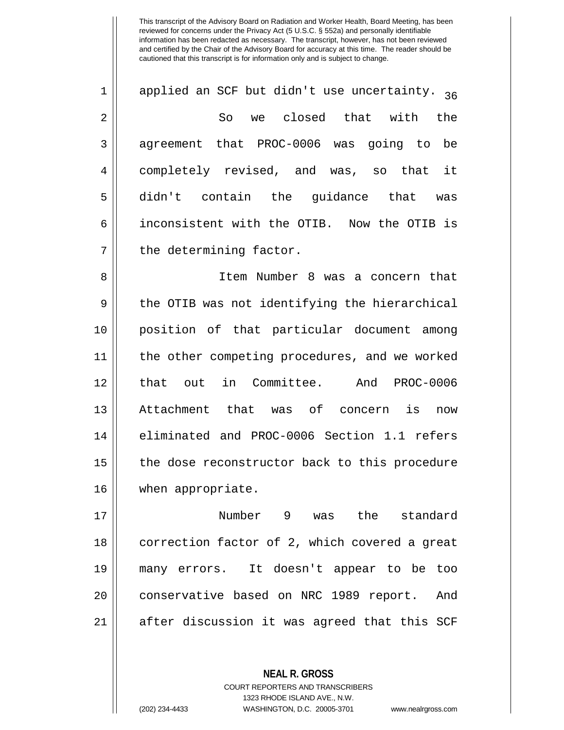$1 \parallel$  applied an SCF but didn't use uncertainty.  $36$ 2 So we closed that with the 3 || agreement that PROC-0006 was going to be 4 completely revised, and was, so that it 5 || didn't contain the guidance that was 6 inconsistent with the OTIB. Now the OTIB is 7 || the determining factor.

 Item Number 8 was a concern that  $9 \parallel$  the OTIB was not identifying the hierarchical position of that particular document among the other competing procedures, and we worked that out in Committee. And PROC-0006 Attachment that was of concern is now 14 eliminated and PROC-0006 Section 1.1 refers 15 || the dose reconstructor back to this procedure when appropriate.

17 Number 9 was the standard 18 || correction factor of 2, which covered a great 19 many errors. It doesn't appear to be too 20 || conservative based on NRC 1989 report. And 21 || after discussion it was agreed that this SCF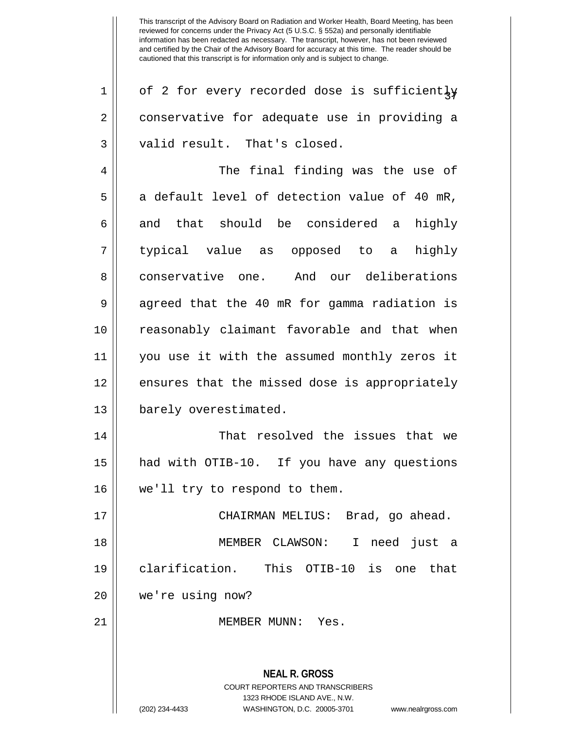| $\mathbf 1$    | of 2 for every recorded dose is sufficiently                                                                                                                           |
|----------------|------------------------------------------------------------------------------------------------------------------------------------------------------------------------|
| $\overline{2}$ | conservative for adequate use in providing a                                                                                                                           |
| 3              | valid result. That's closed.                                                                                                                                           |
| 4              | The final finding was the use of                                                                                                                                       |
| 5              | a default level of detection value of 40 mR,                                                                                                                           |
| 6              | and that should be considered a highly                                                                                                                                 |
| 7              | typical value as opposed to a highly                                                                                                                                   |
| 8              | conservative one. And our deliberations                                                                                                                                |
| 9              | agreed that the 40 mR for gamma radiation is                                                                                                                           |
| 10             | reasonably claimant favorable and that when                                                                                                                            |
| 11             | you use it with the assumed monthly zeros it                                                                                                                           |
| 12             | ensures that the missed dose is appropriately                                                                                                                          |
| 13             | barely overestimated.                                                                                                                                                  |
| 14             | That resolved the issues that we                                                                                                                                       |
| 15             | had with OTIB-10. If you have any questions                                                                                                                            |
| 16             | we'll try to respond to them.                                                                                                                                          |
| 17             | CHAIRMAN MELIUS: Brad, go ahead.                                                                                                                                       |
| 18             | need just a<br>MEMBER CLAWSON: I                                                                                                                                       |
| 19             | clarification. This OTIB-10 is one<br>that                                                                                                                             |
| 20             | we're using now?                                                                                                                                                       |
| 21             | MEMBER MUNN: Yes.                                                                                                                                                      |
|                | <b>NEAL R. GROSS</b><br><b>COURT REPORTERS AND TRANSCRIBERS</b><br>1323 RHODE ISLAND AVE., N.W.<br>WASHINGTON, D.C. 20005-3701<br>(202) 234-4433<br>www.nealrgross.com |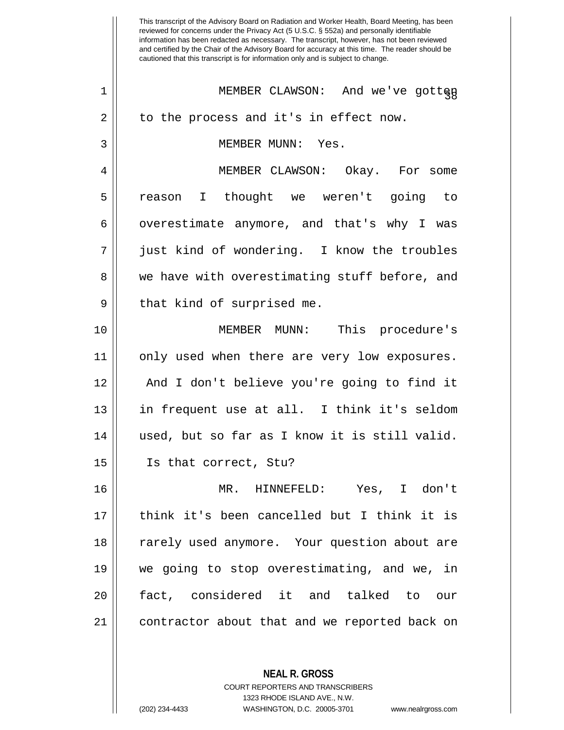This transcript of the Advisory Board on Radiation and Worker Health, Board Meeting, has been reviewed for concerns under the Privacy Act (5 U.S.C. § 552a) and personally identifiable information has been redacted as necessary. The transcript, however, has not been reviewed and certified by the Chair of the Advisory Board for accuracy at this time. The reader should be cautioned that this transcript is for information only and is subject to change. **NEAL R. GROSS** COURT REPORTERS AND TRANSCRIBERS <sup>38</sup> <sup>1</sup> MEMBER CLAWSON: And we've gotten  $2 \parallel$  to the process and it's in effect now. 3 MEMBER MUNN: Yes. 4 MEMBER CLAWSON: Okay. For some 5 reason I thought we weren't going to 6 | overestimate anymore, and that's why I was 7 just kind of wondering. I know the troubles 8 we have with overestimating stuff before, and  $9 \parallel$  that kind of surprised me. 10 MEMBER MUNN: This procedure's 11 || only used when there are very low exposures. 12 And I don't believe you're going to find it 13 || in frequent use at all. I think it's seldom 14 || used, but so far as I know it is still valid. 15 Is that correct, Stu? 16 MR. HINNEFELD: Yes, I don't 17 think it's been cancelled but I think it is 18 || rarely used anymore. Your question about are 19 we going to stop overestimating, and we, in 20 fact, considered it and talked to our 21 contractor about that and we reported back on

1323 RHODE ISLAND AVE., N.W.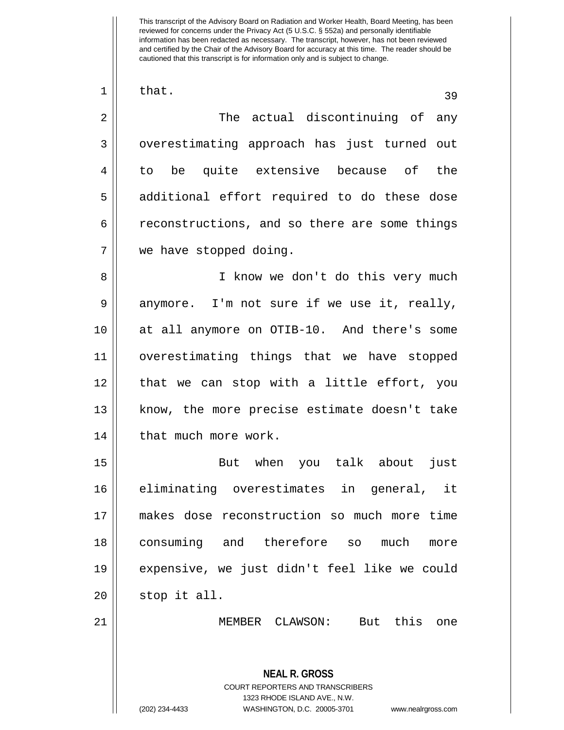**NEAL R. GROSS** COURT REPORTERS AND TRANSCRIBERS 1323 RHODE ISLAND AVE., N.W.  $\begin{array}{|c|c|c|c|c|}\n1 & \text{that.} & \text{39} \end{array}$ 2 The actual discontinuing of any 3 || overestimating approach has just turned out 4 || to be quite extensive because of the 5 || additional effort required to do these dose 6 cach 6 reconstructions, and so there are some things 7 we have stopped doing. 8 || I know we don't do this very much  $9 \parallel$  anymore. I'm not sure if we use it, really, 10 at all anymore on OTIB-10. And there's some 11 overestimating things that we have stopped 12 that we can stop with a little effort, you 13 || know, the more precise estimate doesn't take 14 | that much more work. 15 But when you talk about just 16 eliminating overestimates in general, it 17 makes dose reconstruction so much more time 18 consuming and therefore so much more 19 expensive, we just didn't feel like we could  $20$  || stop it all. 21 MEMBER CLAWSON: But this one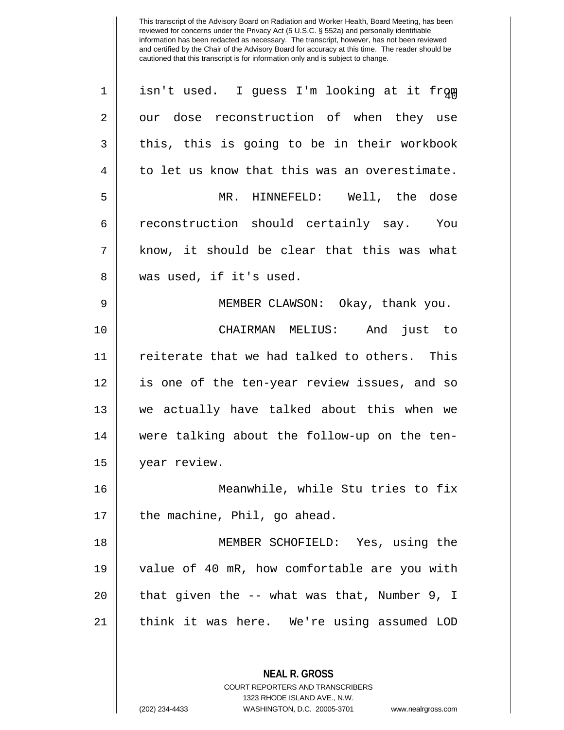| $\mathbf 1$    | isn't used. I guess I'm looking at it from               |
|----------------|----------------------------------------------------------|
| $\overline{2}$ | our dose reconstruction of when they use                 |
| 3              | this, this is going to be in their workbook              |
| 4              | to let us know that this was an overestimate.            |
| 5              | MR. HINNEFELD: Well, the dose                            |
| 6              | reconstruction should certainly say. You                 |
| 7              | know, it should be clear that this was what              |
| 8              | was used, if it's used.                                  |
| 9              | MEMBER CLAWSON: Okay, thank you.                         |
| 10             | CHAIRMAN MELIUS: And just to                             |
| 11             | reiterate that we had talked to others. This             |
| 12             | is one of the ten-year review issues, and so             |
| 13             | we actually have talked about this when we               |
| 14             | were talking about the follow-up on the ten-             |
| 15             | year review.                                             |
| 16             | Meanwhile, while Stu tries to fix                        |
| 17             | the machine, Phil, go ahead.                             |
| 18             | MEMBER SCHOFIELD: Yes, using the                         |
| 19             | value of 40 mR, how comfortable are you with             |
| 20             | that given the -- what was that, Number 9, I             |
| 21             | think it was here. We're using assumed LOD               |
|                |                                                          |
|                | <b>NEAL R. GROSS</b><br>COURT REPORTERS AND TRANSCRIBERS |

1323 RHODE ISLAND AVE., N.W.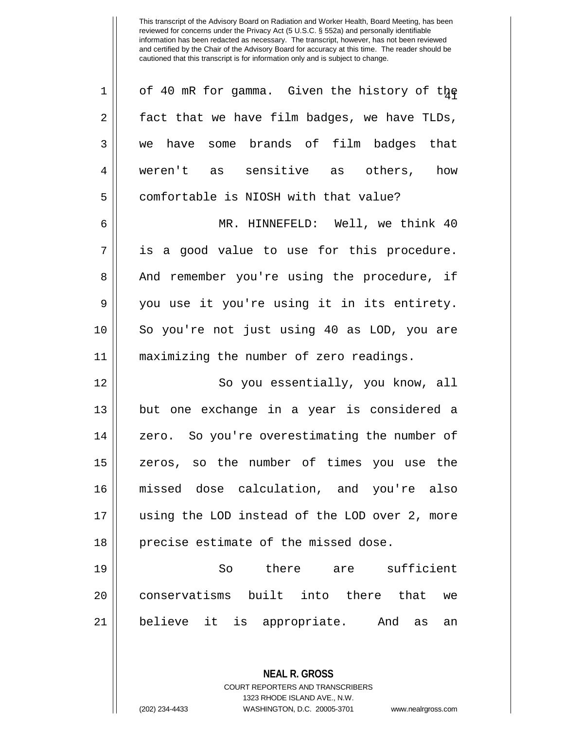| $\mathbf 1$ | of 40 mR for gamma. Given the history of the  |
|-------------|-----------------------------------------------|
| 2           | fact that we have film badges, we have TLDs,  |
| 3           | we have some brands of film badges that       |
| 4           | weren't as sensitive as others, how           |
| 5           | comfortable is NIOSH with that value?         |
| 6           | MR. HINNEFELD: Well, we think 40              |
| 7           | is a good value to use for this procedure.    |
| 8           | And remember you're using the procedure, if   |
| 9           | you use it you're using it in its entirety.   |
| 10          | So you're not just using 40 as LOD, you are   |
| 11          | maximizing the number of zero readings.       |
| 12          | So you essentially, you know, all             |
| 13          | but one exchange in a year is considered a    |
| 14          | zero. So you're overestimating the number of  |
| 15          | zeros, so the number of times you use the     |
| 16          | missed dose calculation, and you're also      |
| 17          | using the LOD instead of the LOD over 2, more |
| 18          | precise estimate of the missed dose.          |
| 19          | there are sufficient<br>So                    |
| 20          | conservatisms built into there that<br>we     |
| 21          |                                               |
|             | believe it is appropriate. And as<br>an       |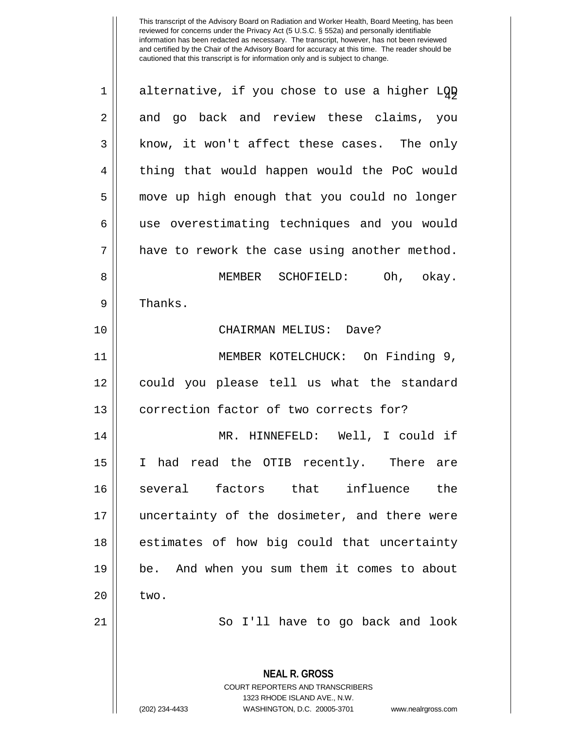| $\mathbf 1$ | alternative, if you chose to use a higher LQD                                                                                                                          |
|-------------|------------------------------------------------------------------------------------------------------------------------------------------------------------------------|
| $\sqrt{2}$  | and go back and review these claims, you                                                                                                                               |
| 3           | know, it won't affect these cases. The only                                                                                                                            |
| 4           | thing that would happen would the PoC would                                                                                                                            |
| 5           | move up high enough that you could no longer                                                                                                                           |
| $\epsilon$  | use overestimating techniques and you would                                                                                                                            |
| 7           | have to rework the case using another method.                                                                                                                          |
| $\,8\,$     | MEMBER SCHOFIELD: Oh, okay.                                                                                                                                            |
| $\mathsf 9$ | Thanks.                                                                                                                                                                |
| 10          | CHAIRMAN MELIUS: Dave?                                                                                                                                                 |
| 11          | MEMBER KOTELCHUCK: On Finding 9,                                                                                                                                       |
| 12          | could you please tell us what the standard                                                                                                                             |
| 13          | correction factor of two corrects for?                                                                                                                                 |
| 14          | MR. HINNEFELD: Well, I could if                                                                                                                                        |
| 15          | had read the OTIB recently. There are<br>I.                                                                                                                            |
| 16          | several factors that influence the                                                                                                                                     |
| 17          | uncertainty of the dosimeter, and there were                                                                                                                           |
| 18          | estimates of how big could that uncertainty                                                                                                                            |
| 19          | And when you sum them it comes to about<br>be.                                                                                                                         |
| 20          | two.                                                                                                                                                                   |
| 21          | So I'll have to go back and look                                                                                                                                       |
|             | <b>NEAL R. GROSS</b><br><b>COURT REPORTERS AND TRANSCRIBERS</b><br>1323 RHODE ISLAND AVE., N.W.<br>(202) 234-4433<br>WASHINGTON, D.C. 20005-3701<br>www.nealrgross.com |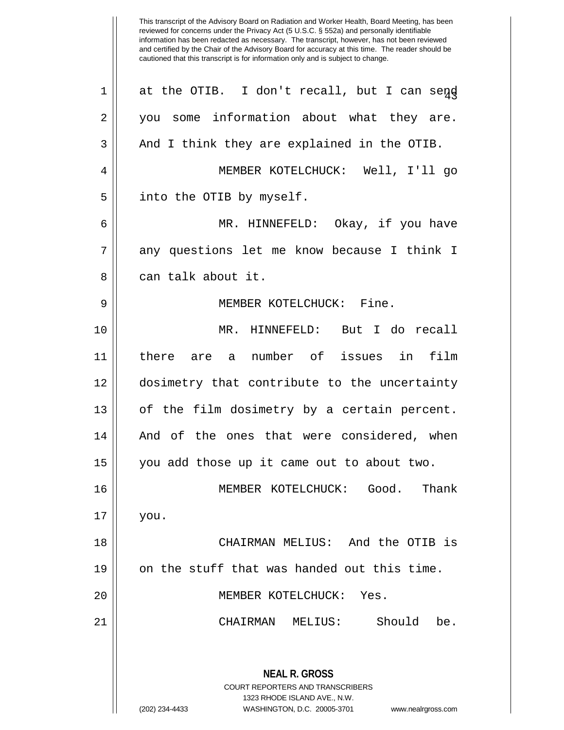This transcript of the Advisory Board on Radiation and Worker Health, Board Meeting, has been reviewed for concerns under the Privacy Act (5 U.S.C. § 552a) and personally identifiable information has been redacted as necessary. The transcript, however, has not been reviewed and certified by the Chair of the Advisory Board for accuracy at this time. The reader should be cautioned that this transcript is for information only and is subject to change.  $1 \parallel$  at the OTIB. I don't recall, but I can send 2 || you some information about what they are.  $3 \parallel$  And I think they are explained in the OTIB. 4 MEMBER KOTELCHUCK: Well, I'll go 5 || into the OTIB by myself. 6 MR. HINNEFELD: Okay, if you have 7 any questions let me know because I think I 8 ll can talk about it. 9 MEMBER KOTELCHUCK: Fine. 10 MR. HINNEFELD: But I do recall 11 there are a number of issues in film 12 dosimetry that contribute to the uncertainty  $13$  | of the film dosimetry by a certain percent. 14 || And of the ones that were considered, when 15 you add those up it came out to about two. 16 MEMBER KOTELCHUCK: Good. Thank 17 you. 18 CHAIRMAN MELIUS: And the OTIB is 19  $\parallel$  on the stuff that was handed out this time. 20 MEMBER KOTELCHUCK: Yes.

21 CHAIRMAN MELIUS: Should be.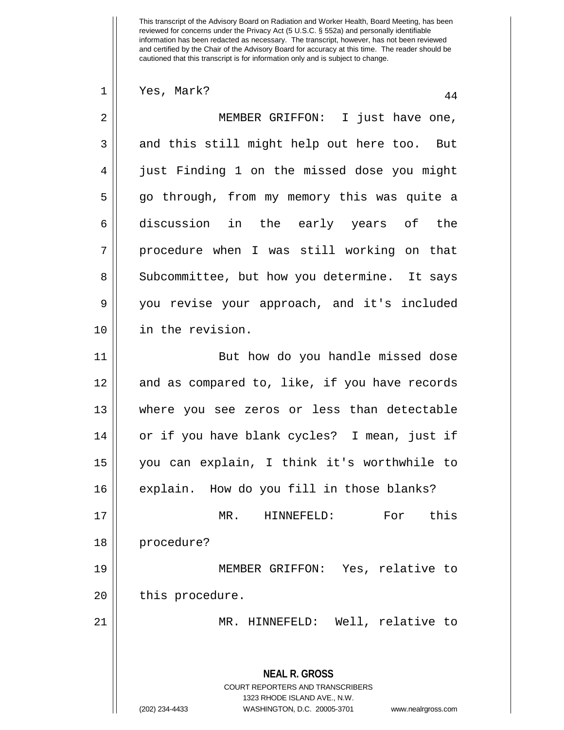**NEAL R. GROSS** COURT REPORTERS AND TRANSCRIBERS 1323 RHODE ISLAND AVE., N.W. (202) 234-4433 WASHINGTON, D.C. 20005-3701 www.nealrgross.com  $1 \parallel$  Yes, Mark?  $44$ 2 || MEMBER GRIFFON: I just have one, 3 and this still might help out here too. But 4 just Finding 1 on the missed dose you might 5 || go through, from my memory this was quite a 6 discussion in the early years of the 7 || procedure when I was still working on that 8 Subcommittee, but how you determine. It says 9 you revise your approach, and it's included 10 in the revision. 11 || But how do you handle missed dose 12 || and as compared to, like, if you have records 13 where you see zeros or less than detectable 14 || or if you have blank cycles? I mean, just if 15 you can explain, I think it's worthwhile to 16 || explain. How do you fill in those blanks? 17 MR. HINNEFELD: For this 18 | procedure? 19 MEMBER GRIFFON: Yes, relative to 20 | this procedure. 21 MR. HINNEFELD: Well, relative to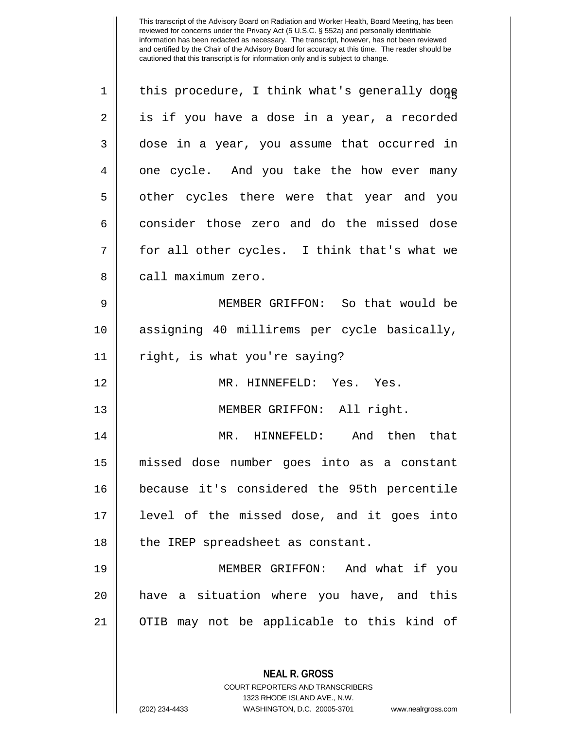| $\mathbf 1$ | this procedure, I think what's generally done            |
|-------------|----------------------------------------------------------|
| 2           | is if you have a dose in a year, a recorded              |
| 3           | dose in a year, you assume that occurred in              |
| 4           | one cycle. And you take the how ever many                |
| 5           | other cycles there were that year and you                |
| 6           | consider those zero and do the missed dose               |
| 7           | for all other cycles. I think that's what we             |
| 8           | call maximum zero.                                       |
| 9           | MEMBER GRIFFON: So that would be                         |
| 10          | assigning 40 millirems per cycle basically,              |
| 11          | right, is what you're saying?                            |
| 12          | MR. HINNEFELD: Yes. Yes.                                 |
| 13          | MEMBER GRIFFON: All right.                               |
| 14          | HINNEFELD: And then that<br>MR.                          |
| 15          | missed dose number goes into as a constant               |
| 16          | because it's considered the 95th percentile              |
| 17          | level of the missed dose, and it goes into               |
| 18          | the IREP spreadsheet as constant.                        |
| 19          | MEMBER GRIFFON: And what if you                          |
| 20          | have a situation where you have, and this                |
| 21          | OTIB may not be applicable to this kind of               |
|             |                                                          |
|             | <b>NEAL R. GROSS</b><br>COURT REPORTERS AND TRANSCRIBERS |

1323 RHODE ISLAND AVE., N.W.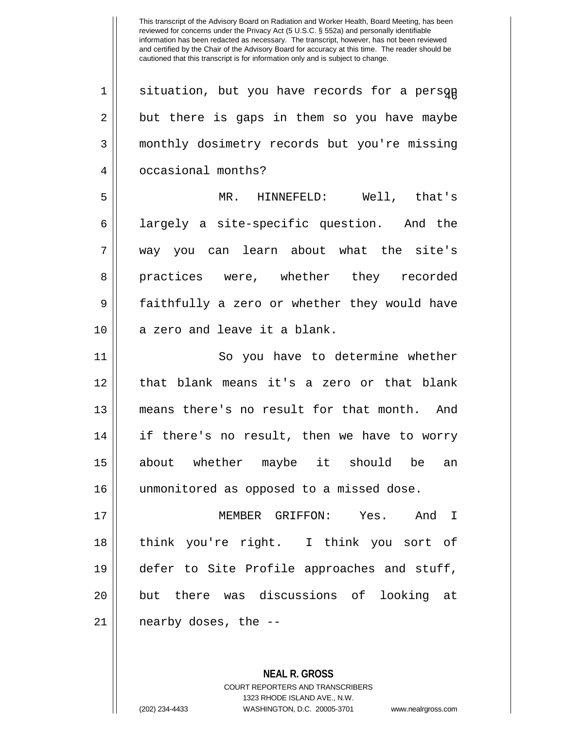| situation, but you have records for a persqp 2 || but there is gaps in them so you have maybe monthly dosimetry records but you're missing 4 | occasional months? MR. HINNEFELD: Well, that's largely a site-specific question. And the way you can learn about what the site's 8 || practices were, whether they recorded faithfully a zero or whether they would have 10 || a zero and leave it a blank. 11 || So you have to determine whether that blank means it's a zero or that blank means there's no result for that month. And if there's no result, then we have to worry about whether maybe it should be an unmonitored as opposed to a missed dose. MEMBER GRIFFON: Yes. And I think you're right. I think you sort of defer to Site Profile approaches and stuff, but there was discussions of looking at | nearby doses, the  $-$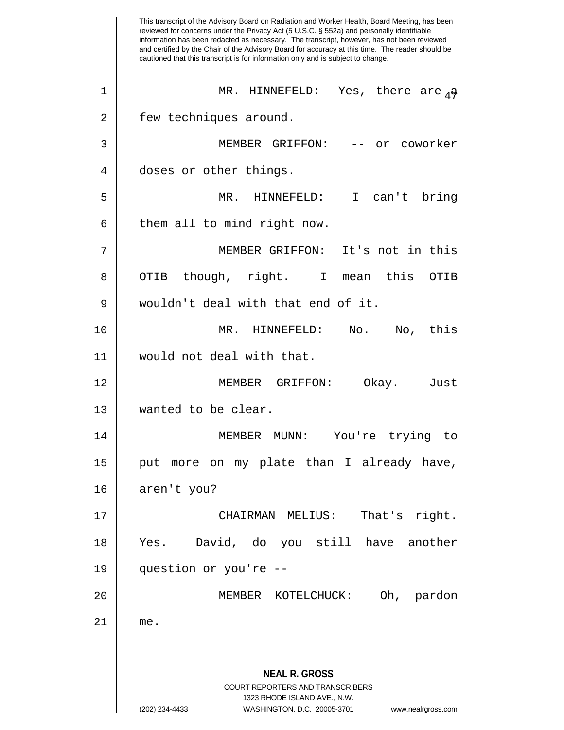This transcript of the Advisory Board on Radiation and Worker Health, Board Meeting, has been reviewed for concerns under the Privacy Act (5 U.S.C. § 552a) and personally identifiable information has been redacted as necessary. The transcript, however, has not been reviewed and certified by the Chair of the Advisory Board for accuracy at this time. The reader should be cautioned that this transcript is for information only and is subject to change. **NEAL R. GROSS** COURT REPORTERS AND TRANSCRIBERS 1323 RHODE ISLAND AVE., N.W. (202) 234-4433 WASHINGTON, D.C. 20005-3701 www.nealrgross.com <sup>47</sup> <sup>1</sup> MR. HINNEFELD: Yes, there are a 2 | few techniques around. 3 || MEMBER GRIFFON: -- or coworker 4 doses or other things. 5 MR. HINNEFELD: I can't bring  $6 \parallel$  them all to mind right now. 7 MEMBER GRIFFON: It's not in this 8 || OTIB though, right. I mean this OTIB 9 wouldn't deal with that end of it. 10 MR. HINNEFELD: No. No, this 11 would not deal with that. 12 MEMBER GRIFFON: Okay. Just 13 || wanted to be clear. 14 MEMBER MUNN: You're trying to 15 || put more on my plate than I already have, 16 | aren't you? 17 CHAIRMAN MELIUS: That's right. 18 Yes. David, do you still have another 19 question or you're -- 20 MEMBER KOTELCHUCK: Oh, pardon  $21$  me.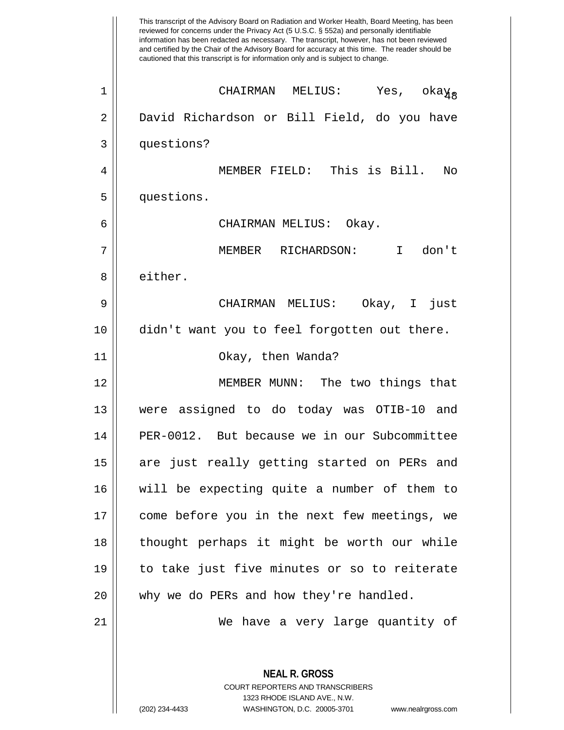This transcript of the Advisory Board on Radiation and Worker Health, Board Meeting, has been reviewed for concerns under the Privacy Act (5 U.S.C. § 552a) and personally identifiable information has been redacted as necessary. The transcript, however, has not been reviewed and certified by the Chair of the Advisory Board for accuracy at this time. The reader should be cautioned that this transcript is for information only and is subject to change. **NEAL R. GROSS** COURT REPORTERS AND TRANSCRIBERS 1323 RHODE ISLAND AVE., N.W.  $\left\vert \begin{matrix} 1 \end{matrix} \right\vert$  CHAIRMAN MELIUS: Yes, oka $\rm \chi_{8}$ 2 || David Richardson or Bill Field, do you have 3 questions? 4 MEMBER FIELD: This is Bill. No 5 questions. 6 CHAIRMAN MELIUS: Okay. 7 MEMBER RICHARDSON: I don't 8 l either. 9 CHAIRMAN MELIUS: Okay, I just 10 didn't want you to feel forgotten out there. 11 Okay, then Wanda? 12 MEMBER MUNN: The two things that 13 were assigned to do today was OTIB-10 and 14 PER-0012. But because we in our Subcommittee 15 || are just really getting started on PERs and 16 will be expecting quite a number of them to 17 || come before you in the next few meetings, we 18 thought perhaps it might be worth our while 19 to take just five minutes or so to reiterate 20 || why we do PERs and how they're handled. 21 We have a very large quantity of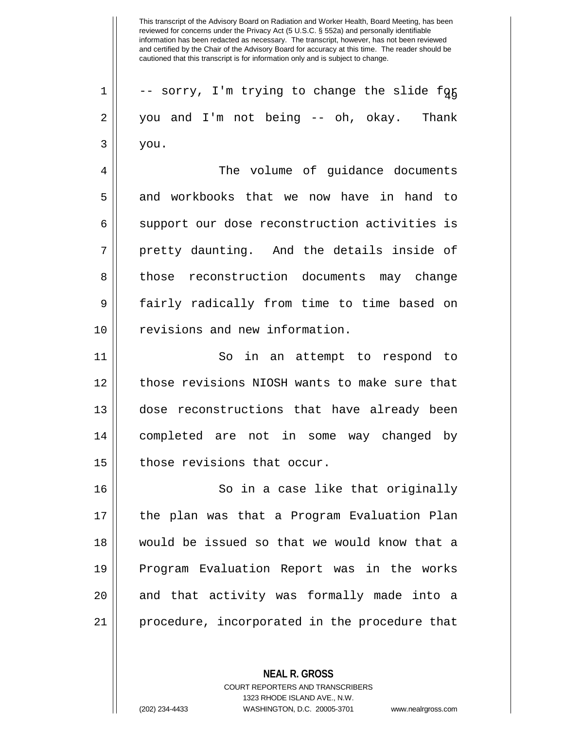$1 \parallel$  -- sorry, I'm trying to change the slide for 2 || you and I'm not being -- oh, okay. Thank  $3 \parallel$  you. 4 | The volume of guidance documents 5 and workbooks that we now have in hand to 6 || support our dose reconstruction activities is 7 || pretty daunting. And the details inside of 8 || those reconstruction documents may change 9 || fairly radically from time to time based on 10 || revisions and new information. 11 || So in an attempt to respond to 12 || those revisions NIOSH wants to make sure that 13 dose reconstructions that have already been 14 completed are not in some way changed by 15 | those revisions that occur. 16 || So in a case like that originally 17 the plan was that a Program Evaluation Plan 18 would be issued so that we would know that a 19 Program Evaluation Report was in the works 20 || and that activity was formally made into a

21 procedure, incorporated in the procedure that

**NEAL R. GROSS**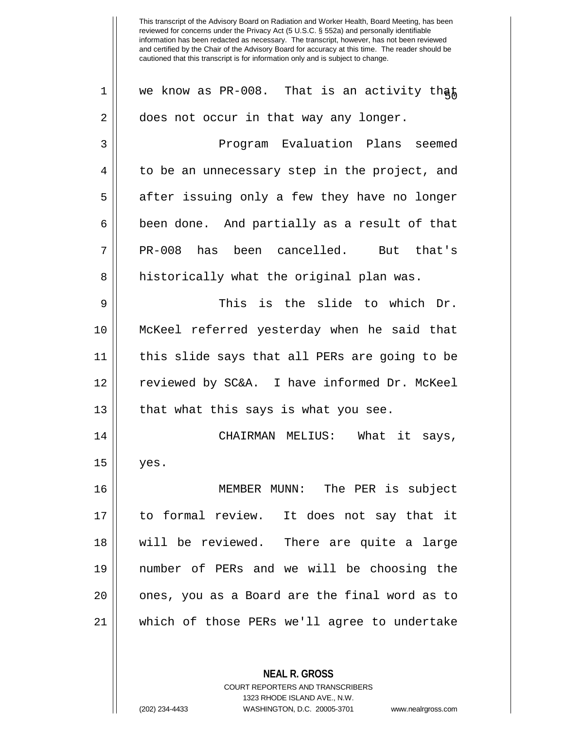1 | we know as PR-008. That is an activity that 2 | does not occur in that way any longer. 3 Program Evaluation Plans seemed  $4 \parallel$  to be an unnecessary step in the project, and  $5 \parallel$  after issuing only a few they have no longer  $6 \parallel$  been done. And partially as a result of that 7 PR-008 has been cancelled. But that's 8 || historically what the original plan was.  $9 \parallel$  This is the slide to which Dr. 10 McKeel referred yesterday when he said that 11 this slide says that all PERs are going to be 12 reviewed by SC&A. I have informed Dr. McKeel  $13$  || that what this says is what you see. 14 CHAIRMAN MELIUS: What it says,  $15 \parallel$  yes. 16 MEMBER MUNN: The PER is subject 17 to formal review. It does not say that it 18 will be reviewed. There are quite a large 19 number of PERs and we will be choosing the 20 || ones, you as a Board are the final word as to 21 which of those PERs we'll agree to undertake

> COURT REPORTERS AND TRANSCRIBERS 1323 RHODE ISLAND AVE., N.W.

**NEAL R. GROSS**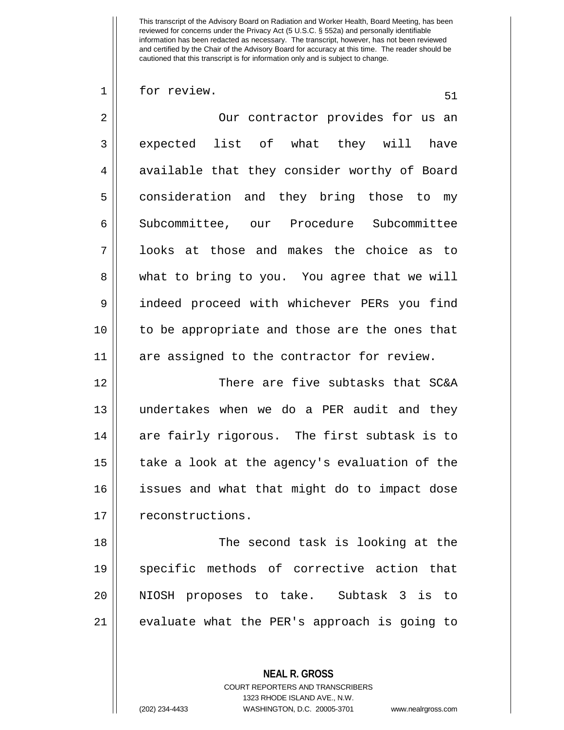$1 \parallel$  for review.

**NEAL R. GROSS** 2 || Our contractor provides for us an 3 || expected list of what they will have  $4 \parallel$  available that they consider worthy of Board 5 | consideration and they bring those to my 6 | Subcommittee, our Procedure Subcommittee 7 looks at those and makes the choice as to 8 what to bring to you. You agree that we will 9 indeed proceed with whichever PERs you find 10 to be appropriate and those are the ones that 11 are assigned to the contractor for review. 12 There are five subtasks that SC&A 13 undertakes when we do a PER audit and they 14 are fairly rigorous. The first subtask is to 15 || take a look at the agency's evaluation of the 16 issues and what that might do to impact dose 17 | reconstructions. 18 || The second task is looking at the 19 specific methods of corrective action that 20 NIOSH proposes to take. Subtask 3 is to 21 || evaluate what the PER's approach is going to

COURT REPORTERS AND TRANSCRIBERS

1323 RHODE ISLAND AVE., N.W.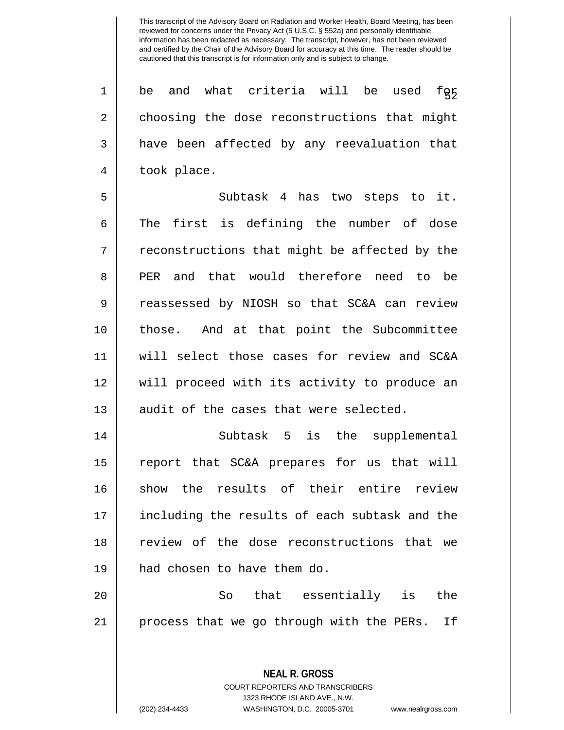$\begin{array}{c|cccc} 1 & be & \hbox{and} & \hbox{what} & \hbox{critical} & \hbox{will} & \hbox{be} & \hbox{used} & \hbox{fgy} \end{array}$ 2 choosing the dose reconstructions that might 3 || have been affected by any reevaluation that 4 || took place.

5 || Subtask 4 has two steps to it.  $6 \parallel$  The first is defining the number of dose  $7 ||$  reconstructions that might be affected by the 8 PER and that would therefore need to be 9 Teassessed by NIOSH so that SC&A can review 10 those. And at that point the Subcommittee 11 will select those cases for review and SC&A 12 will proceed with its activity to produce an  $13$  || audit of the cases that were selected.

14 || Subtask 5 is the supplemental 15 report that SC&A prepares for us that will 16 Show the results of their entire review 17 || including the results of each subtask and the 18 || review of the dose reconstructions that we 19 had chosen to have them do.

20 So that essentially is the 21 || process that we go through with the PERs. If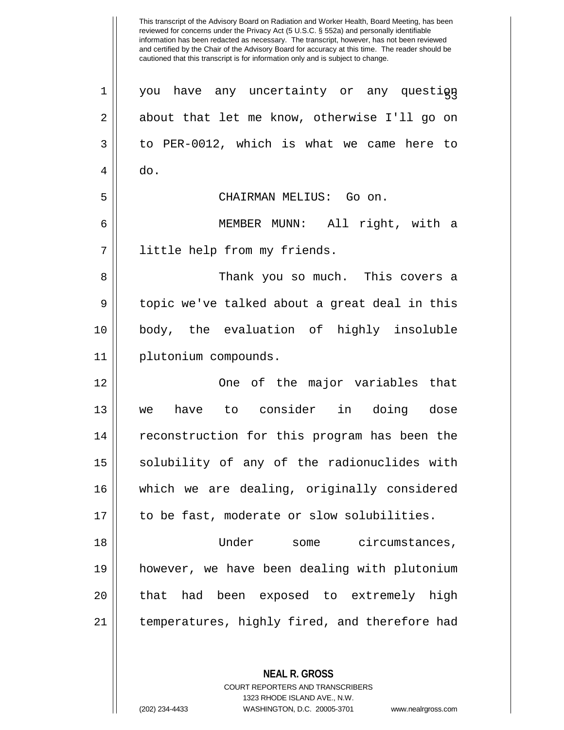This transcript of the Advisory Board on Radiation and Worker Health, Board Meeting, has been reviewed for concerns under the Privacy Act (5 U.S.C. § 552a) and personally identifiable information has been redacted as necessary. The transcript, however, has not been reviewed and certified by the Chair of the Advisory Board for accuracy at this time. The reader should be cautioned that this transcript is for information only and is subject to change. **NEAL R. GROSS**  $1 \parallel$  you have any uncertainty or any question 2 || about that let me know, otherwise I'll go on  $3 \parallel$  to PER-0012, which is what we came here to  $4 \parallel$  do. 5 CHAIRMAN MELIUS: Go on. 6 MEMBER MUNN: All right, with a 7 little help from my friends. 8 Thank you so much. This covers a 9 | topic we've talked about a great deal in this 10 body, the evaluation of highly insoluble 11 plutonium compounds. 12 One of the major variables that 13 we have to consider in doing dose 14 || reconstruction for this program has been the 15 || solubility of any of the radionuclides with 16 which we are dealing, originally considered 17 || to be fast, moderate or slow solubilities. 18 Under some circumstances, 19 however, we have been dealing with plutonium 20 || that had been exposed to extremely high 21 | temperatures, highly fired, and therefore had

> COURT REPORTERS AND TRANSCRIBERS 1323 RHODE ISLAND AVE., N.W.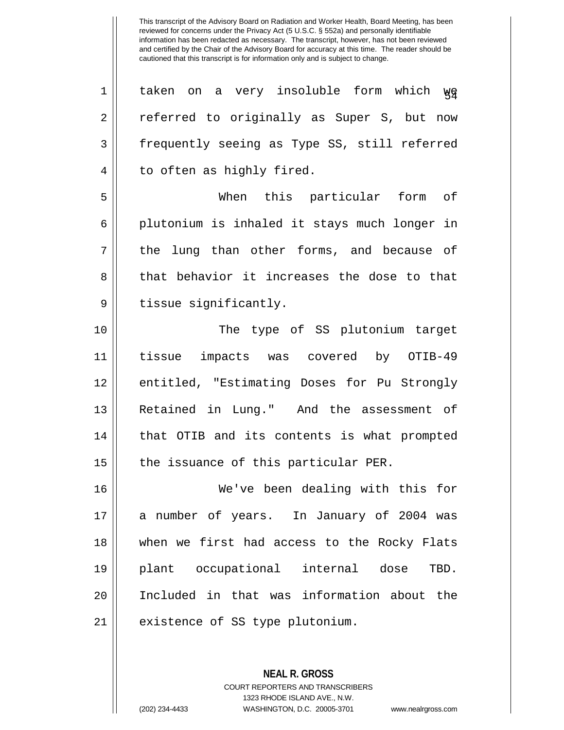$1 \parallel$  taken on a very insoluble form which  $\gamma_{\rm F}$ 2 || referred to originally as Super S, but now 3 Frequently seeing as Type SS, still referred 4 | to often as highly fired. 5 When this particular form of 6 || plutonium is inhaled it stays much longer in 7 || the lung than other forms, and because of 8 || that behavior it increases the dose to that 9 | tissue significantly. 10 The type of SS plutonium target 11 tissue impacts was covered by OTIB-49 12 || entitled, "Estimating Doses for Pu Strongly 13 Retained in Lung." And the assessment of 14 || that OTIB and its contents is what prompted  $15$  || the issuance of this particular PER.

 We've been dealing with this for a number of years. In January of 2004 was when we first had access to the Rocky Flats plant occupational internal dose TBD. Included in that was information about the 21 || existence of SS type plutonium.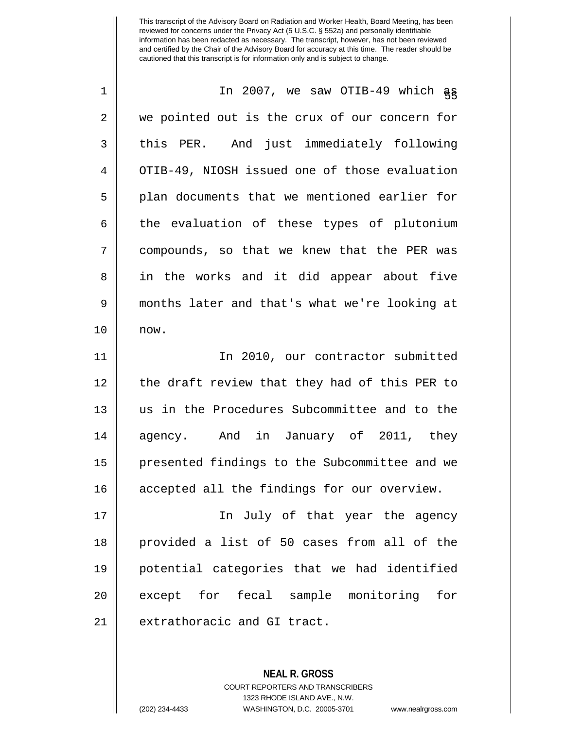| $\mathbf 1$ | In 2007, we saw OTIB-49 which as              |
|-------------|-----------------------------------------------|
| 2           | we pointed out is the crux of our concern for |
| 3           | this PER. And just immediately following      |
| 4           | OTIB-49, NIOSH issued one of those evaluation |
| 5           | plan documents that we mentioned earlier for  |
| 6           | the evaluation of these types of plutonium    |
| 7           | compounds, so that we knew that the PER was   |
| 8           | in the works and it did appear about five     |
| 9           | months later and that's what we're looking at |
| 10          | now.                                          |
| 11          | In 2010, our contractor submitted             |
| 12          | the draft review that they had of this PER to |
| 13          | us in the Procedures Subcommittee and to the  |
| 14          | agency. And in January of 2011, they          |
| 15          | presented findings to the Subcommittee and we |
| 16          | accepted all the findings for our overview.   |
| 17          | In July of that year the agency               |
| 18          | provided a list of 50 cases from all of the   |
| 19          | potential categories that we had identified   |
| 20          | except for fecal sample monitoring<br>for     |
| 21          | extrathoracic and GI tract.                   |
|             |                                               |

**NEAL R. GROSS** COURT REPORTERS AND TRANSCRIBERS 1323 RHODE ISLAND AVE., N.W.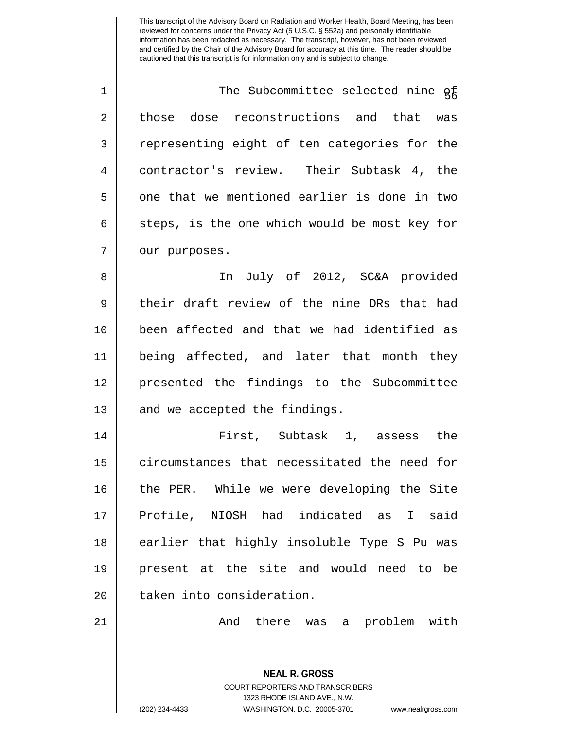1 || The Subcommittee selected nine of 2 || those dose reconstructions and that was 3 Tepresenting eight of ten categories for the 4 contractor's review. Their Subtask 4, the  $5 \parallel$  one that we mentioned earlier is done in two  $6 \parallel$  steps, is the one which would be most key for 7 | our purposes.

8 || In July of 2012, SC&A provided 9 their draft review of the nine DRs that had been affected and that we had identified as being affected, and later that month they presented the findings to the Subcommittee | and we accepted the findings.

14 First, Subtask 1, assess the 15 | circumstances that necessitated the need for 16 || the PER. While we were developing the Site 17 || Profile, NIOSH had indicated as I said 18 || earlier that highly insoluble Type S Pu was 19 present at the site and would need to be 20 || taken into consideration.

21 And there was a problem with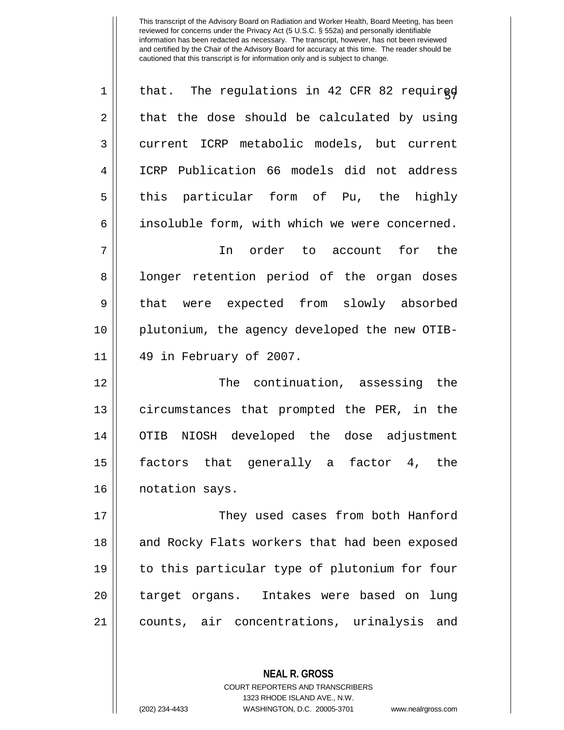| $\mathbf 1$    | that. The regulations in 42 CFR 82 required   |
|----------------|-----------------------------------------------|
| $\overline{2}$ | that the dose should be calculated by using   |
| 3              | current ICRP metabolic models, but current    |
| 4              | ICRP Publication 66 models did not address    |
| 5              | this particular form of Pu, the highly        |
| 6              | insoluble form, with which we were concerned. |
| 7              | In order to account for the                   |
| 8              | longer retention period of the organ doses    |
| $\mathsf 9$    | that were expected from slowly absorbed       |
| 10             | plutonium, the agency developed the new OTIB- |
| 11             | 49 in February of 2007.                       |
|                |                                               |
| 12             | The continuation, assessing the               |
| 13             | circumstances that prompted the PER, in the   |
| 14             | NIOSH developed the dose adjustment<br>OTIB   |
| 15             | factors that generally a factor 4, the        |
| 16             | notation says.                                |
| 17             | They used cases from both Hanford             |
| 18             | and Rocky Flats workers that had been exposed |
| 19             | to this particular type of plutonium for four |
| 20             | target organs. Intakes were based on lung     |
| 21             | counts, air concentrations, urinalysis and    |

COURT REPORTERS AND TRANSCRIBERS 1323 RHODE ISLAND AVE., N.W.

**NEAL R. GROSS**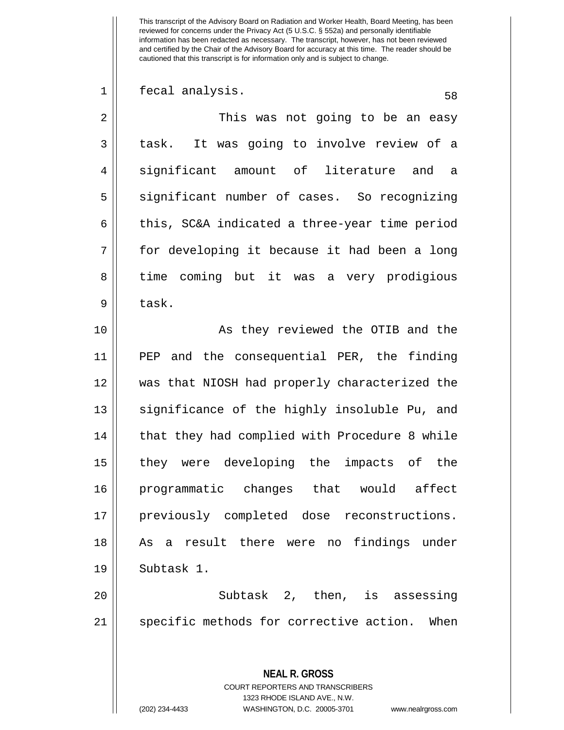**NEAL R. GROSS** COURT REPORTERS AND TRANSCRIBERS 1323 RHODE ISLAND AVE., N.W. 1 || fecal analysis. 58 2 This was not going to be an easy 3 || task. It was going to involve review of a  $4 \parallel$  significant amount of literature and a 5 || significant number of cases. So recognizing  $6 \parallel$  this, SC&A indicated a three-year time period 7 for developing it because it had been a long 8 || time coming but it was a very prodigious  $9 \parallel$  task. 10 || As they reviewed the OTIB and the 11 PEP and the consequential PER, the finding 12 was that NIOSH had properly characterized the  $13$  significance of the highly insoluble Pu, and  $14$  | that they had complied with Procedure 8 while 15 || they were developing the impacts of the 16 programmatic changes that would affect 17 || previously completed dose reconstructions. 18 || As a result there were no findings under 19 || Subtask 1. 20 Subtask 2, then, is assessing 21 || specific methods for corrective action. When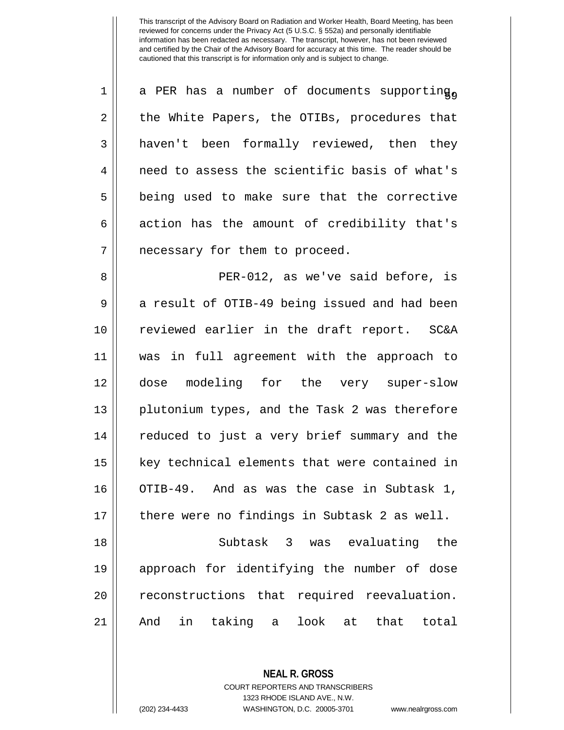| 1              | a PER has a number of documents supporting <sub>o</sub> |
|----------------|---------------------------------------------------------|
| $\overline{2}$ | the White Papers, the OTIBs, procedures that            |
| 3              | haven't been formally reviewed, then they               |
| 4              | need to assess the scientific basis of what's           |
| 5              | being used to make sure that the corrective             |
| 6              | action has the amount of credibility that's             |
| 7              | necessary for them to proceed.                          |
| 8              | PER-012, as we've said before, is                       |
| 9              | a result of OTIB-49 being issued and had been           |
| 10             | reviewed earlier in the draft report. SC&A              |
| 11             | was in full agreement with the approach to              |
| 12             | dose modeling for the very super-slow                   |
| 13             | plutonium types, and the Task 2 was therefore           |
| 14             | reduced to just a very brief summary and the            |
| 15             | key technical elements that were contained in           |
| 16             | OTIB-49. And as was the case in Subtask 1,              |
| 17             | there were no findings in Subtask 2 as well.            |
| 18             | Subtask 3 was evaluating<br>the                         |
| 19             | approach for identifying the number of dose             |
| 20             | reconstructions that required reevaluation.             |
| 21             | taking<br>in<br>look<br>that<br>And<br>at<br>total<br>a |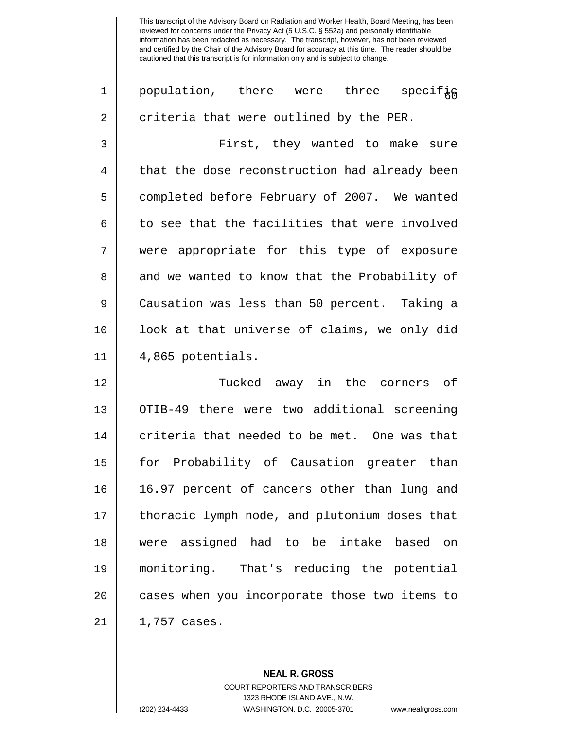1 || population, there were three specif<sub>k</sub> 2 || criteria that were outlined by the PER. 3 First, they wanted to make sure  $4 \parallel$  that the dose reconstruction had already been 5 | completed before February of 2007. We wanted  $6 \parallel$  to see that the facilities that were involved 7 were appropriate for this type of exposure 8 || and we wanted to know that the Probability of 9 Causation was less than 50 percent. Taking a 10 look at that universe of claims, we only did  $11 \parallel 4,865$  potentials. 12 Tucked away in the corners of 13 || OTIB-49 there were two additional screening  $14$   $\parallel$  criteria that needed to be met. One was that 15 for Probability of Causation greater than 16 16.97 percent of cancers other than lung and 17 || thoracic lymph node, and plutonium doses that 18 were assigned had to be intake based on 19 monitoring. That's reducing the potential 20 || cases when you incorporate those two items to  $21 \parallel 1,757 \text{ cases}.$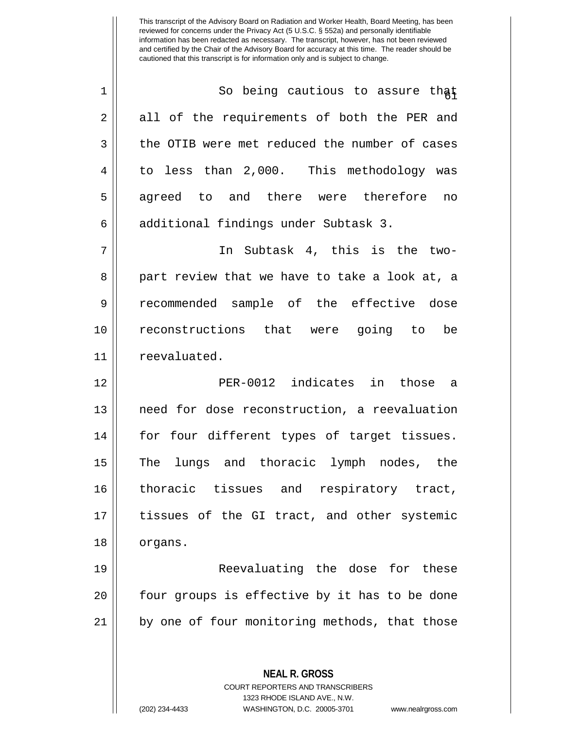1 || So being cautious to assure that 2 || all of the requirements of both the PER and  $3 \parallel$  the OTIB were met reduced the number of cases 4 to less than 2,000. This methodology was 5 || agreed to and there were therefore no 6 additional findings under Subtask 3. 7 In Subtask 4, this is the two-8 || part review that we have to take a look at, a 9 recommended sample of the effective dose 10 reconstructions that were going to be 11 | reevaluated. 12 PER-0012 indicates in those a 13 || need for dose reconstruction, a reevaluation 14 || for four different types of target tissues. 15 The lungs and thoracic lymph nodes, the 16 thoracic tissues and respiratory tract, 17 || tissues of the GI tract, and other systemic 18 | organs. 19 Reevaluating the dose for these 20 || four groups is effective by it has to be done 21 || by one of four monitoring methods, that those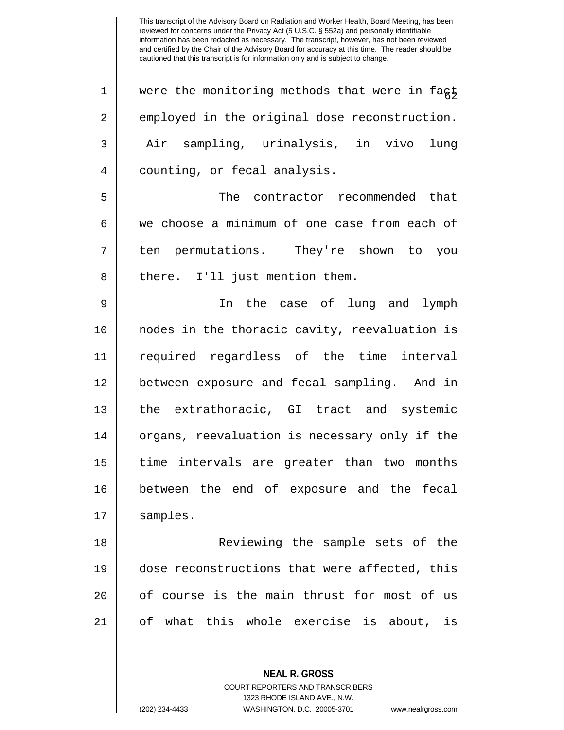| $\mathbf 1$    | were the monitoring methods that were in fagt |
|----------------|-----------------------------------------------|
| $\overline{2}$ | employed in the original dose reconstruction. |
| $\mathbf{3}$   | Air sampling, urinalysis, in vivo<br>lung     |
| 4              | counting, or fecal analysis.                  |
| 5              | The contractor recommended that               |
| 6              | we choose a minimum of one case from each of  |
| 7              | ten permutations. They're shown to you        |
| 8              | there. I'll just mention them.                |
| 9              | In the case of lung and lymph                 |
| 10             | nodes in the thoracic cavity, reevaluation is |
| 11             | required regardless of the time interval      |
| 12             | between exposure and fecal sampling. And in   |
| 13             | the extrathoracic, GI tract and systemic      |
| 14             | organs, reevaluation is necessary only if the |
| 15             | time intervals are greater than two months    |
| 16             | between the end of exposure and the fecal     |
| 17             | samples.                                      |
| 18             | Reviewing the sample sets of the              |
| 19             | dose reconstructions that were affected, this |
| 20             | of course is the main thrust for most of us   |
| 21             | of what this whole exercise is about, is      |
|                |                                               |
|                |                                               |

**NEAL R. GROSS** COURT REPORTERS AND TRANSCRIBERS 1323 RHODE ISLAND AVE., N.W.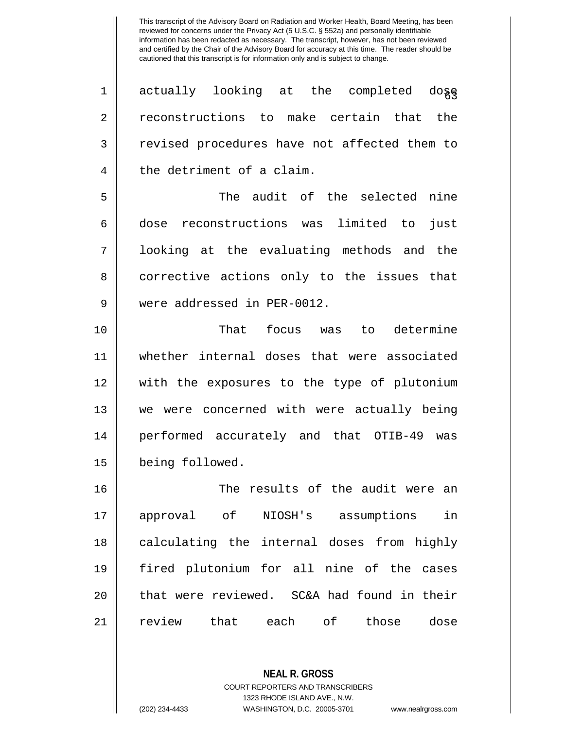$\begin{array}{c}\n 1 \parallel \end{array}$  actually looking at the completed do $_{\tiny{\bbox{\textbf{8}}}}$ 2 || reconstructions to make certain that the 3 || revised procedures have not affected them to 4 the detriment of a claim. 5 The audit of the selected nine 6 dose reconstructions was limited to just

7 looking at the evaluating methods and the 8 || corrective actions only to the issues that 9 Were addressed in PER-0012.

 That focus was to determine whether internal doses that were associated with the exposures to the type of plutonium we were concerned with were actually being performed accurately and that OTIB-49 was being followed.

 The results of the audit were an approval of NIOSH's assumptions in 18 || calculating the internal doses from highly fired plutonium for all nine of the cases 20 || that were reviewed. SC&A had found in their review that each of those dose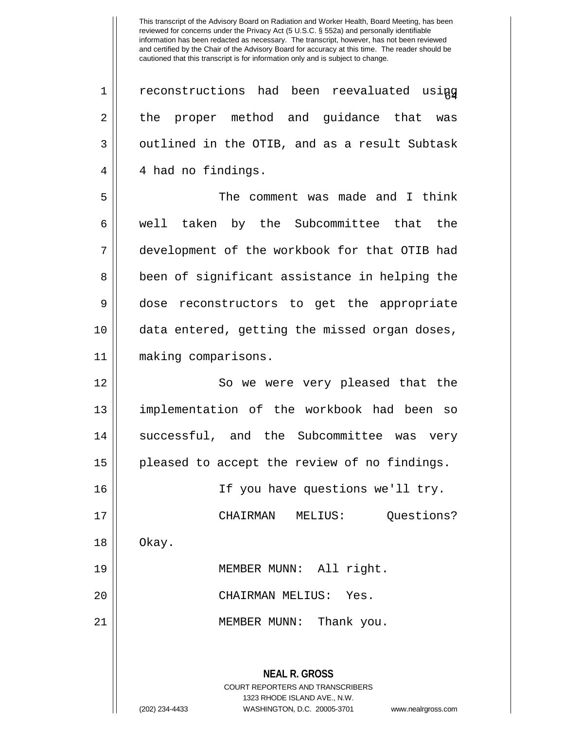**NEAL R. GROSS** COURT REPORTERS AND TRANSCRIBERS 1323 RHODE ISLAND AVE., N.W. (202) 234-4433 WASHINGTON, D.C. 20005-3701 www.nealrgross.com  $1$  | reconstructions had been reevaluated using 2 || the proper method and guidance that was  $3 \parallel$  outlined in the OTIB, and as a result Subtask 4 || 4 had no findings. 5 The comment was made and I think 6 well taken by the Subcommittee that the 7 development of the workbook for that OTIB had 8 || been of significant assistance in helping the 9 dose reconstructors to get the appropriate 10 data entered, getting the missed organ doses, 11 making comparisons. 12 || So we were very pleased that the 13 || implementation of the workbook had been so 14 || successful, and the Subcommittee was very 15 pleased to accept the review of no findings. 16 If you have questions we'll try. 17 CHAIRMAN MELIUS: Questions?  $18 \parallel$  Okay. 19 MEMBER MUNN: All right. 20 CHAIRMAN MELIUS: Yes. 21 || MEMBER MUNN: Thank you.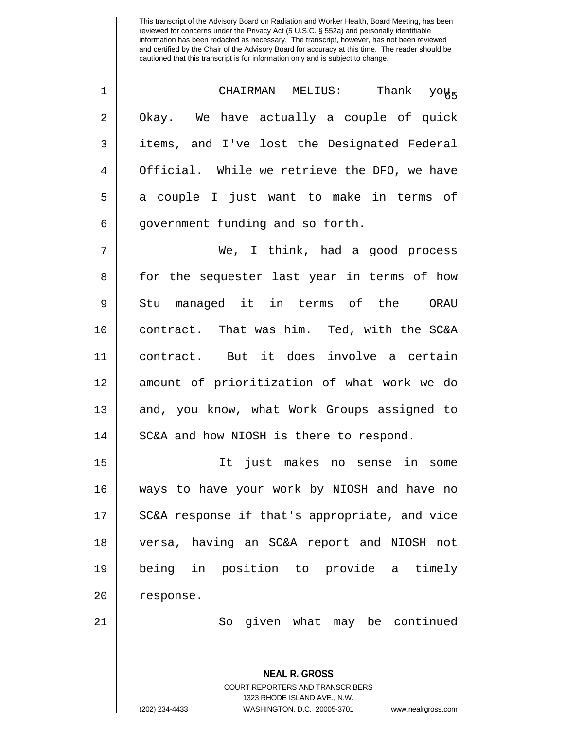<sup>65</sup> <sup>1</sup> CHAIRMAN MELIUS: Thank you. 2 | Okay. We have actually a couple of quick 3 || items, and I've lost the Designated Federal 4 | Official. While we retrieve the DFO, we have 5 || a couple I just want to make in terms of 6 | government funding and so forth.

7 We, I think, had a good process 8 || for the sequester last year in terms of how 9 || Stu managed it in terms of the ORAU 10 contract. That was him. Ted, with the SC&A 11 contract. But it does involve a certain 12 amount of prioritization of what work we do 13 || and, you know, what Work Groups assigned to 14 | SC&A and how NIOSH is there to respond.

 It just makes no sense in some ways to have your work by NIOSH and have no 17 || SC&A response if that's appropriate, and vice versa, having an SC&A report and NIOSH not being in position to provide a timely 20 | response.

21 So given what may be continued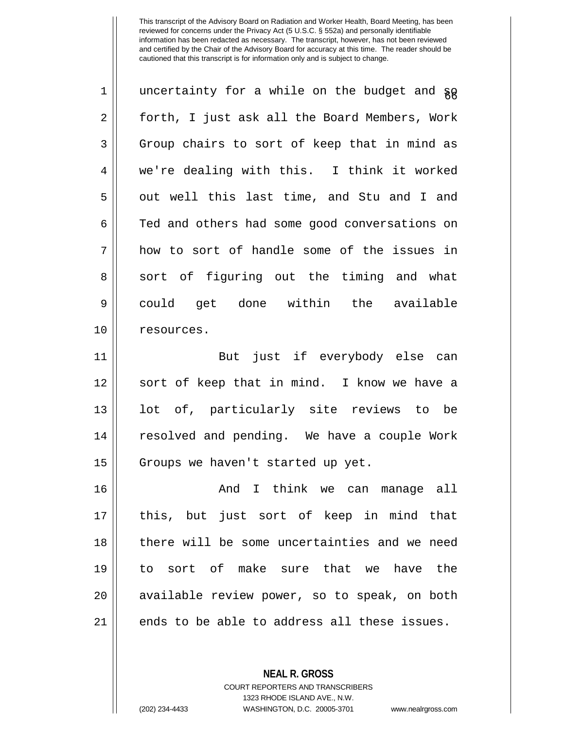| $\mathbf 1$ | uncertainty for a while on the budget and gg  |
|-------------|-----------------------------------------------|
| 2           | forth, I just ask all the Board Members, Work |
| 3           | Group chairs to sort of keep that in mind as  |
| 4           | we're dealing with this. I think it worked    |
| 5           | out well this last time, and Stu and I and    |
| 6           | Ted and others had some good conversations on |
| 7           | how to sort of handle some of the issues in   |
| 8           | sort of figuring out the timing and what      |
| $\mathsf 9$ | could get done within the available           |
| 10          | resources.                                    |
| 11          | But just if everybody else can                |
| 12          | sort of keep that in mind. I know we have a   |
| 13          | lot of, particularly site reviews to be       |
| 14          | resolved and pending. We have a couple Work   |
| 15          | Groups we haven't started up yet.             |
| 16          | And I think we can manage all                 |
| 17          | this, but just sort of keep in mind that      |
| 18          | there will be some uncertainties and we need  |
| 19          | to sort of make sure that we have the         |
| 20          | available review power, so to speak, on both  |
| 21          | ends to be able to address all these issues.  |

**NEAL R. GROSS** COURT REPORTERS AND TRANSCRIBERS 1323 RHODE ISLAND AVE., N.W.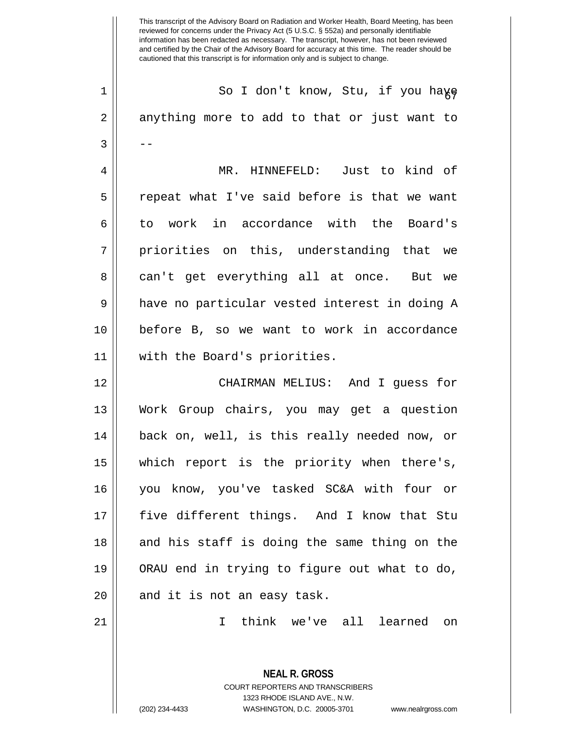This transcript of the Advisory Board on Radiation and Worker Health, Board Meeting, has been reviewed for concerns under the Privacy Act (5 U.S.C. § 552a) and personally identifiable information has been redacted as necessary. The transcript, however, has not been reviewed and certified by the Chair of the Advisory Board for accuracy at this time. The reader should be cautioned that this transcript is for information only and is subject to change. **NEAL R. GROSS** COURT REPORTERS AND TRANSCRIBERS 1323 RHODE ISLAND AVE., N.W. 1 || So I don't know, Stu, if you haye 2 || anything more to add to that or just want to  $3 \parallel - -$ 4 MR. HINNEFELD: Just to kind of  $5 \parallel$  repeat what I've said before is that we want 6 to work in accordance with the Board's 7 || priorities on this, understanding that we 8 || can't get everything all at once. But we 9 || have no particular vested interest in doing A 10 before B, so we want to work in accordance 11 with the Board's priorities. 12 CHAIRMAN MELIUS: And I guess for 13 Work Group chairs, you may get a question 14 back on, well, is this really needed now, or 15 which report is the priority when there's, 16 you know, you've tasked SC&A with four or 17 || five different things. And I know that Stu 18 || and his staff is doing the same thing on the 19 ORAU end in trying to figure out what to do,  $20$  || and it is not an easy task. 21 I think we've all learned on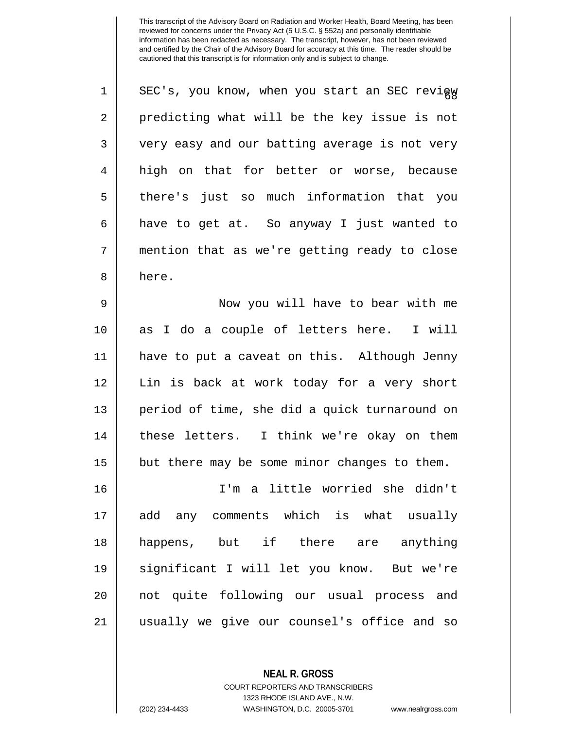| $\mathbf 1$    | SEC's, you know, when you start an SEC revigy |
|----------------|-----------------------------------------------|
| $\overline{2}$ | predicting what will be the key issue is not  |
| 3              | very easy and our batting average is not very |
| 4              | high on that for better or worse, because     |
| 5              | there's just so much information that you     |
| 6              | have to get at. So anyway I just wanted to    |
| 7              | mention that as we're getting ready to close  |
| 8              | here.                                         |
| 9              | Now you will have to bear with me             |
| 10             | as I do a couple of letters here. I will      |
| 11             | have to put a caveat on this. Although Jenny  |
| 12             | Lin is back at work today for a very short    |
| 13             | period of time, she did a quick turnaround on |
| 14             | these letters. I think we're okay on them     |
| 15             | but there may be some minor changes to them.  |
| 16             | I'm a little worried she didn't               |
| 17             | add any comments which is what usually        |
| 18             | happens, but if there are anything            |
| 19             | significant I will let you know. But we're    |
| 20             | not quite following our usual process and     |
| 21             | usually we give our counsel's office and so   |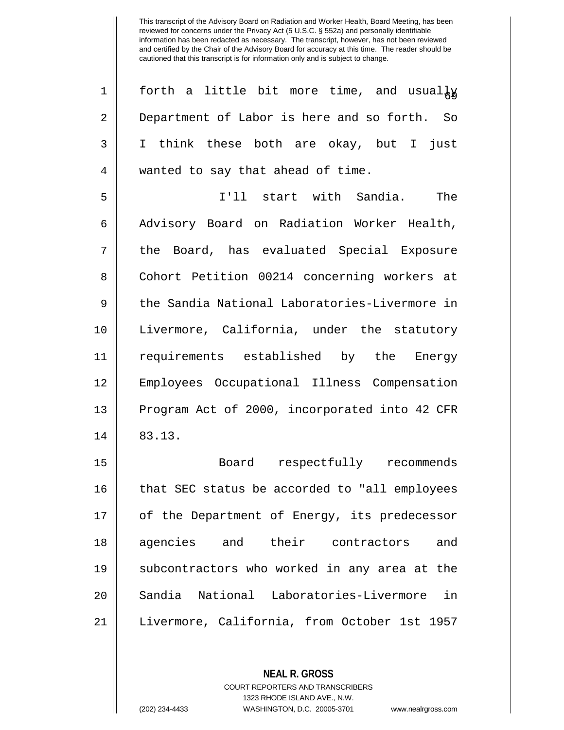| $\mathbf 1$    | forth a little bit more time, and usualky     |
|----------------|-----------------------------------------------|
| $\overline{2}$ | Department of Labor is here and so forth. So  |
| 3              | I think these both are okay, but I just       |
| $\overline{4}$ | wanted to say that ahead of time.             |
| 5              | I'll start with Sandia.<br>The                |
| 6              | Advisory Board on Radiation Worker Health,    |
| 7              | the Board, has evaluated Special Exposure     |
| 8              | Cohort Petition 00214 concerning workers at   |
| 9              | the Sandia National Laboratories-Livermore in |
| 10             | Livermore, California, under the statutory    |
| 11             | requirements established by the Energy        |
| 12             | Employees Occupational Illness Compensation   |
| 13             | Program Act of 2000, incorporated into 42 CFR |
| 14             | 83.13.                                        |
| 15             | Board respectfully recommends                 |
| 16             | that SEC status be accorded to "all employees |
| 17             | of the Department of Energy, its predecessor  |
| 18             | agencies and their contractors<br>and         |
| 19             | subcontractors who worked in any area at the  |
| 20             | Sandia National Laboratories-Livermore<br>in  |
| 21             | Livermore, California, from October 1st 1957  |

**NEAL R. GROSS** COURT REPORTERS AND TRANSCRIBERS 1323 RHODE ISLAND AVE., N.W.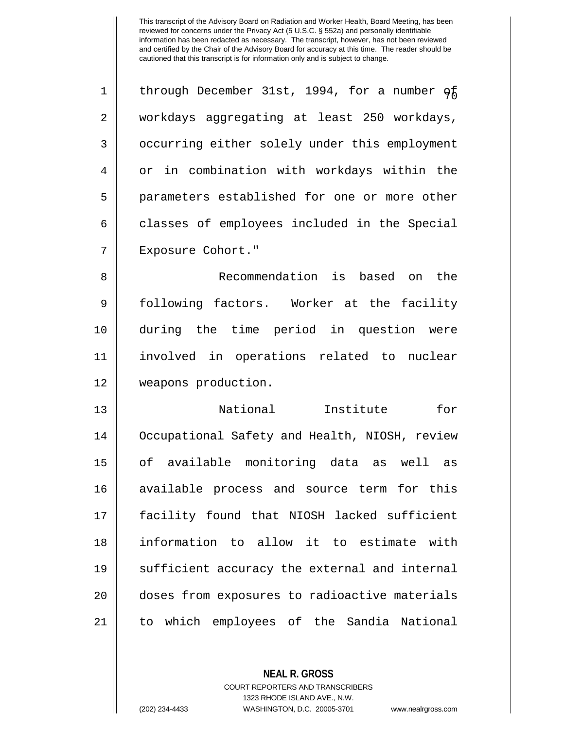1 | through December 31st, 1994, for a number  $q<sub>f</sub>$ 2 workdays aggregating at least 250 workdays, 3 | occurring either solely under this employment 4 | or in combination with workdays within the 5 || parameters established for one or more other  $6 \parallel$  classes of employees included in the Special 7 Exposure Cohort."

 Recommendation is based on the following factors. Worker at the facility during the time period in question were involved in operations related to nuclear weapons production.

 National Institute for 14 | Occupational Safety and Health, NIOSH, review of available monitoring data as well as available process and source term for this facility found that NIOSH lacked sufficient information to allow it to estimate with 19 || sufficient accuracy the external and internal doses from exposures to radioactive materials to which employees of the Sandia National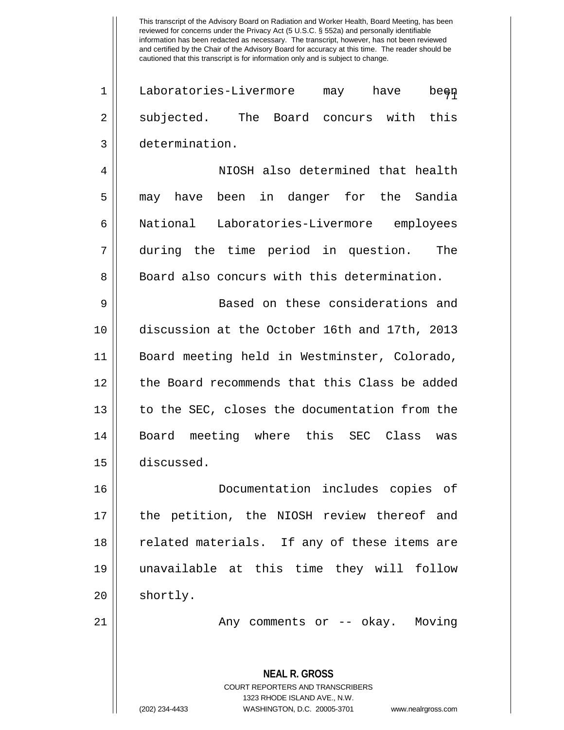1 || Laboratories-Livermore may have been 2 || subjected. The Board concurs with this 3 determination.

4 NIOSH also determined that health 5 || may have been in danger for the Sandia 6 National Laboratories-Livermore employees 7 during the time period in question. The 8 Board also concurs with this determination.

 Based on these considerations and discussion at the October 16th and 17th, 2013 Board meeting held in Westminster, Colorado, 12 || the Board recommends that this Class be added  $\parallel$  to the SEC, closes the documentation from the Board meeting where this SEC Class was discussed.

16 Documentation includes copies of 17 || the petition, the NIOSH review thereof and 18 || related materials. If any of these items are 19 unavailable at this time they will follow  $20$  || shortly.

21 || Any comments or -- okay. Moving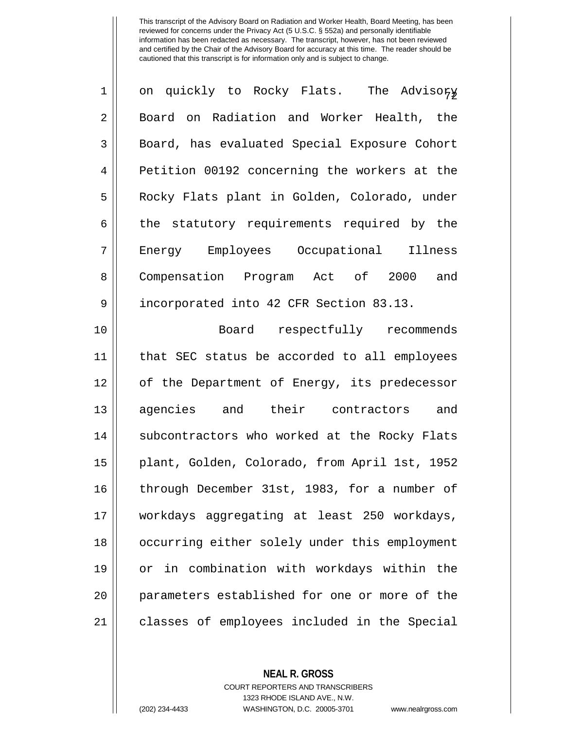| $\mathbf 1$    | on quickly to Rocky Flats. The Advisory       |
|----------------|-----------------------------------------------|
| $\overline{2}$ | Board on Radiation and Worker Health, the     |
| 3              | Board, has evaluated Special Exposure Cohort  |
| 4              | Petition 00192 concerning the workers at the  |
| 5              | Rocky Flats plant in Golden, Colorado, under  |
| 6              | the statutory requirements required by the    |
| 7              | Energy Employees Occupational Illness         |
| 8              | Compensation Program Act of 2000 and          |
| 9              | incorporated into 42 CFR Section 83.13.       |
| 10             | Board respectfully recommends                 |
| 11             | that SEC status be accorded to all employees  |
| 12             | of the Department of Energy, its predecessor  |
| 13             | agencies and their contractors and            |
| 14             | subcontractors who worked at the Rocky Flats  |
| 15             | plant, Golden, Colorado, from April 1st, 1952 |
| 16             | through December 31st, 1983, for a number of  |
| 17             | workdays aggregating at least 250 workdays,   |
| 18             | occurring either solely under this employment |
| 19             | or in combination with workdays within the    |
| 20             | parameters established for one or more of the |
| 21             | classes of employees included in the Special  |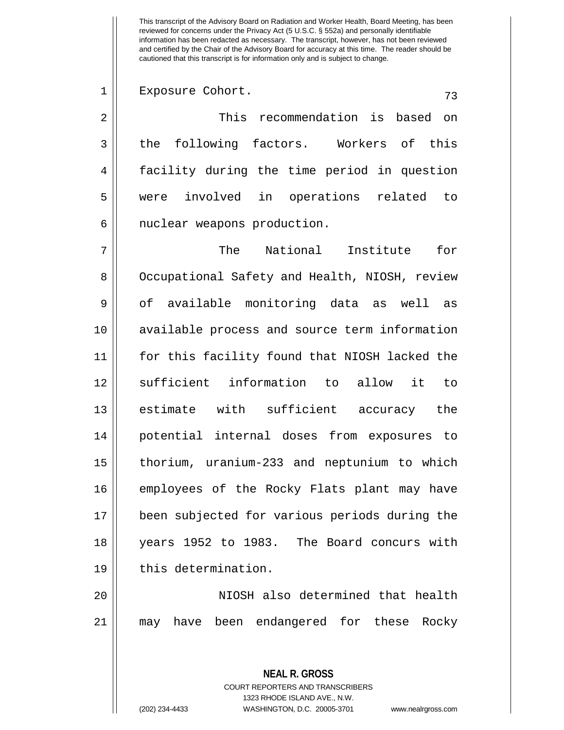## 1 || Exposure Cohort. (73

2 This recommendation is based on  $3 \parallel$  the following factors. Workers of this 4 facility during the time period in question 5 were involved in operations related to 6 | nuclear weapons production.

 The National Institute for 8 | Occupational Safety and Health, NIOSH, review 9 || of available monitoring data as well as available process and source term information for this facility found that NIOSH lacked the 12 || sufficient information to allow it to 13 || estimate with sufficient accuracy the potential internal doses from exposures to thorium, uranium-233 and neptunium to which employees of the Rocky Flats plant may have been subjected for various periods during the years 1952 to 1983. The Board concurs with 19 | this determination.

20 NIOSH also determined that health 21 may have been endangered for these Rocky

> **NEAL R. GROSS** COURT REPORTERS AND TRANSCRIBERS 1323 RHODE ISLAND AVE., N.W. (202) 234-4433 WASHINGTON, D.C. 20005-3701 www.nealrgross.com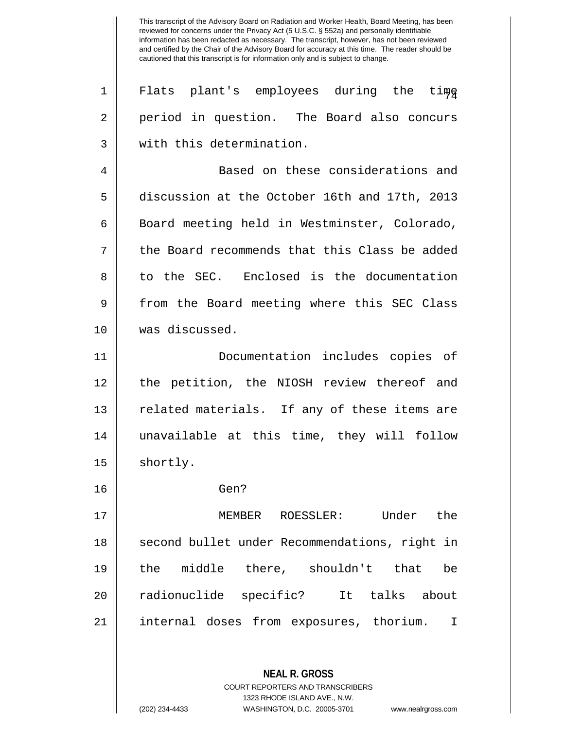**NEAL R. GROSS** COURT REPORTERS AND TRANSCRIBERS 1323 RHODE ISLAND AVE., N.W.  $1 \parallel$  Flats plant's employees during the tim $_{\frac{6}{4}}$ 2 || period in question. The Board also concurs 3 W with this determination. 4 || Based on these considerations and 5 discussion at the October 16th and 17th, 2013 6 | Board meeting held in Westminster, Colorado, 7 the Board recommends that this Class be added 8 to the SEC. Enclosed is the documentation 9 || from the Board meeting where this SEC Class 10 was discussed. 11 Documentation includes copies of 12 the petition, the NIOSH review thereof and 13 || related materials. If any of these items are 14 unavailable at this time, they will follow 15 | shortly. 16 Gen? 17 MEMBER ROESSLER: Under the 18 || second bullet under Recommendations, right in 19 the middle there, shouldn't that be 20 radionuclide specific? It talks about 21 internal doses from exposures, thorium. I

(202) 234-4433 WASHINGTON, D.C. 20005-3701 www.nealrgross.com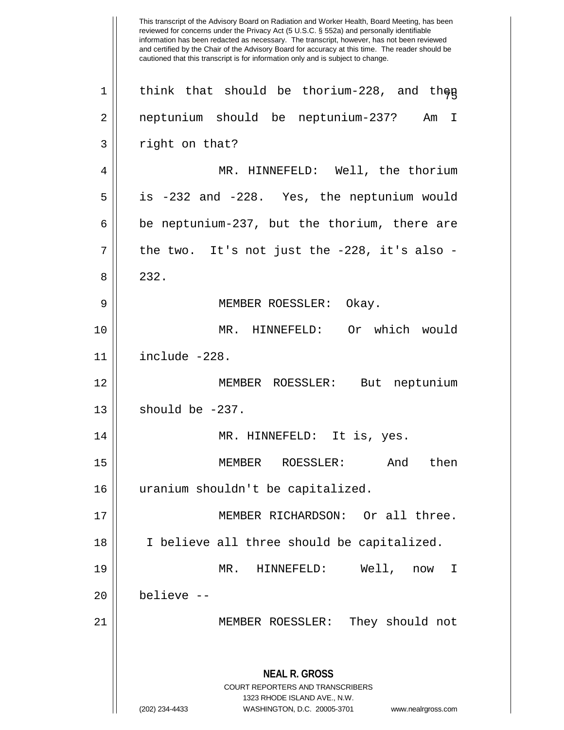This transcript of the Advisory Board on Radiation and Worker Health, Board Meeting, has been reviewed for concerns under the Privacy Act (5 U.S.C. § 552a) and personally identifiable information has been redacted as necessary. The transcript, however, has not been reviewed and certified by the Chair of the Advisory Board for accuracy at this time. The reader should be cautioned that this transcript is for information only and is subject to change. **NEAL R. GROSS** COURT REPORTERS AND TRANSCRIBERS 1323 RHODE ISLAND AVE., N.W. (202) 234-4433 WASHINGTON, D.C. 20005-3701 www.nealrgross.com 1 || think that should be thorium-228, and then 2 neptunium should be neptunium-237? Am I 3 || right on that? 4 MR. HINNEFELD: Well, the thorium  $5 \parallel$  is -232 and -228. Yes, the neptunium would  $6 \parallel$  be neptunium-237, but the thorium, there are  $7 \parallel$  the two. It's not just the -228, it's also -8 | 232. 9 | MEMBER ROESSLER: Okay. 10 MR. HINNEFELD: Or which would 11 include -228. 12 MEMBER ROESSLER: But neptunium  $13 \parallel$  should be  $-237$ . 14 || MR. HINNEFELD: It is, yes. 15 MEMBER ROESSLER: And then 16 uranium shouldn't be capitalized. 17 || MEMBER RICHARDSON: Or all three. 18 I believe all three should be capitalized. 19 MR. HINNEFELD: Well, now I 20 believe -- 21 MEMBER ROESSLER: They should not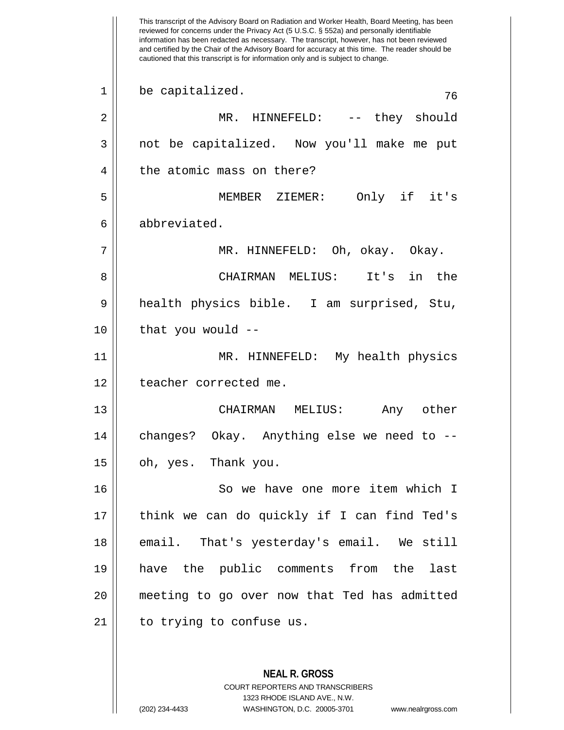This transcript of the Advisory Board on Radiation and Worker Health, Board Meeting, has been reviewed for concerns under the Privacy Act (5 U.S.C. § 552a) and personally identifiable information has been redacted as necessary. The transcript, however, has not been reviewed and certified by the Chair of the Advisory Board for accuracy at this time. The reader should be cautioned that this transcript is for information only and is subject to change. **NEAL R. GROSS** COURT REPORTERS AND TRANSCRIBERS  $1 \parallel$  be capitalized.  $76$ 2 MR. HINNEFELD: -- they should 3 not be capitalized. Now you'll make me put 4 || the atomic mass on there? 5 MEMBER ZIEMER: Only if it's 6 abbreviated. 7 MR. HINNEFELD: Oh, okay. Okay. 8 CHAIRMAN MELIUS: It's in the 9 health physics bible. I am surprised, Stu,  $10$  || that you would  $-$ 11 MR. HINNEFELD: My health physics 12 | teacher corrected me. 13 CHAIRMAN MELIUS: Any other  $14$  | changes? Okay. Anything else we need to  $15 \parallel$  oh, yes. Thank you. 16 || So we have one more item which I 17 || think we can do quickly if I can find Ted's 18 || email. That's yesterday's email. We still 19 have the public comments from the last 20 meeting to go over now that Ted has admitted 21 || to trying to confuse us.

1323 RHODE ISLAND AVE., N.W.

(202) 234-4433 WASHINGTON, D.C. 20005-3701 www.nealrgross.com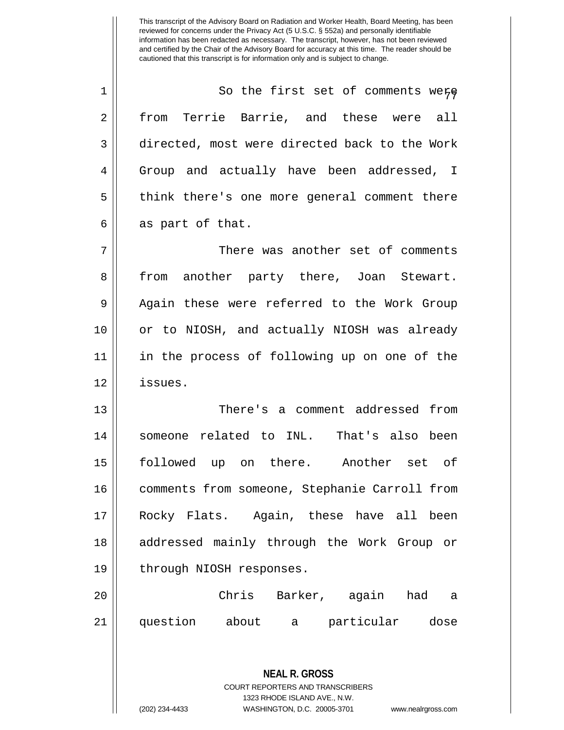1 || So the first set of comments were 2 from Terrie Barrie, and these were all 3 directed, most were directed back to the Work 4 Group and actually have been addressed, I 5 || think there's one more general comment there  $6 \parallel$  as part of that.

7 There was another set of comments 8 from another party there, Joan Stewart. 9 || Again these were referred to the Work Group 10 or to NIOSH, and actually NIOSH was already 11 in the process of following up on one of the 12 issues.

 There's a comment addressed from 14 || someone related to INL. That's also been followed up on there. Another set of comments from someone, Stephanie Carroll from Rocky Flats. Again, these have all been addressed mainly through the Work Group or 19 || through NIOSH responses.

20 Chris Barker, again had a 21 question about a particular dose

> **NEAL R. GROSS** COURT REPORTERS AND TRANSCRIBERS 1323 RHODE ISLAND AVE., N.W. (202) 234-4433 WASHINGTON, D.C. 20005-3701 www.nealrgross.com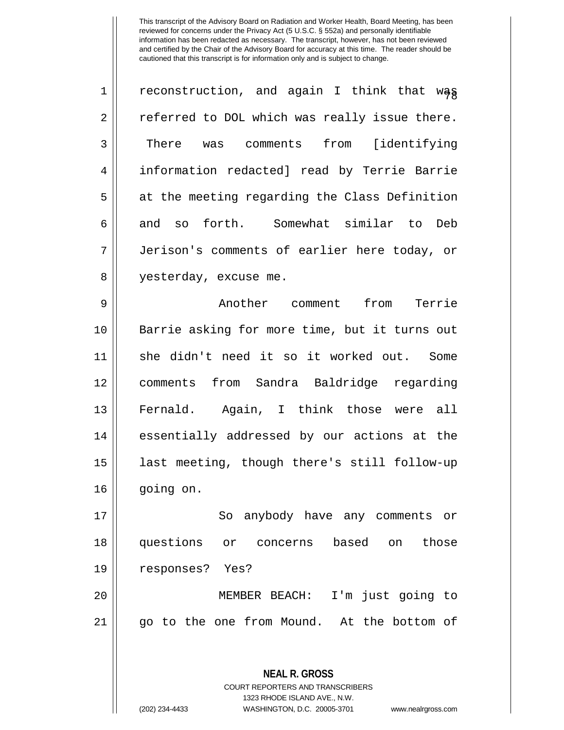1 | reconstruction, and again I think that wag 2 || referred to DOL which was really issue there. 3 There was comments from [identifying 4 information redacted] read by Terrie Barrie  $5 \parallel$  at the meeting regarding the Class Definition 6 and so forth. Somewhat similar to Deb 7 Jerison's comments of earlier here today, or 8 | yesterday, excuse me.

9 || Another comment from Terrie Barrie asking for more time, but it turns out she didn't need it so it worked out. Some comments from Sandra Baldridge regarding 13 || Fernald. Again, I think those were all 14 || essentially addressed by our actions at the last meeting, though there's still follow-up going on.

17 || So anybody have any comments or 18 questions or concerns based on those 19 responses? Yes?

20 MEMBER BEACH: I'm just going to 21 go to the one from Mound. At the bottom of

> **NEAL R. GROSS** COURT REPORTERS AND TRANSCRIBERS 1323 RHODE ISLAND AVE., N.W. (202) 234-4433 WASHINGTON, D.C. 20005-3701 www.nealrgross.com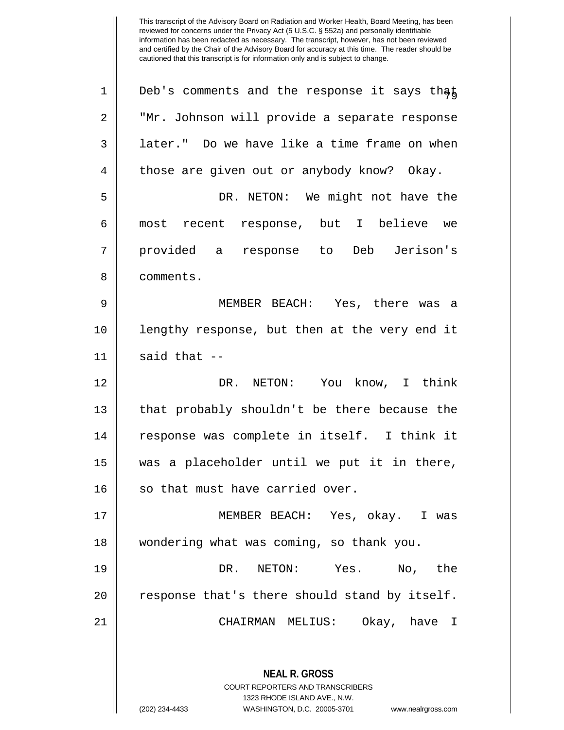| $\mathbf 1$ | Deb's comments and the response it says that                                                                                                                           |
|-------------|------------------------------------------------------------------------------------------------------------------------------------------------------------------------|
| 2           | "Mr. Johnson will provide a separate response                                                                                                                          |
| 3           | later." Do we have like a time frame on when                                                                                                                           |
| 4           | those are given out or anybody know? Okay.                                                                                                                             |
| 5           | DR. NETON: We might not have the                                                                                                                                       |
| 6           | most recent response, but I believe we                                                                                                                                 |
| 7           | provided a response to Deb Jerison's                                                                                                                                   |
| 8           | comments.                                                                                                                                                              |
| 9           | MEMBER BEACH: Yes, there was a                                                                                                                                         |
| 10          | lengthy response, but then at the very end it                                                                                                                          |
| 11          | said that $--$                                                                                                                                                         |
| 12          | DR. NETON: You know, I think                                                                                                                                           |
| 13          | that probably shouldn't be there because the                                                                                                                           |
| 14          | response was complete in itself. I think it                                                                                                                            |
| 15          | was a placeholder until we put it in there,                                                                                                                            |
| 16          | so that must have carried over.                                                                                                                                        |
| 17          | MEMBER BEACH: Yes, okay. I was                                                                                                                                         |
| 18          | wondering what was coming, so thank you.                                                                                                                               |
| 19          | DR. NETON: Yes.<br>No, the                                                                                                                                             |
| 20          | response that's there should stand by itself.                                                                                                                          |
| 21          | CHAIRMAN MELIUS: Okay, have I                                                                                                                                          |
|             | <b>NEAL R. GROSS</b><br><b>COURT REPORTERS AND TRANSCRIBERS</b><br>1323 RHODE ISLAND AVE., N.W.<br>(202) 234-4433<br>WASHINGTON, D.C. 20005-3701<br>www.nealrgross.com |